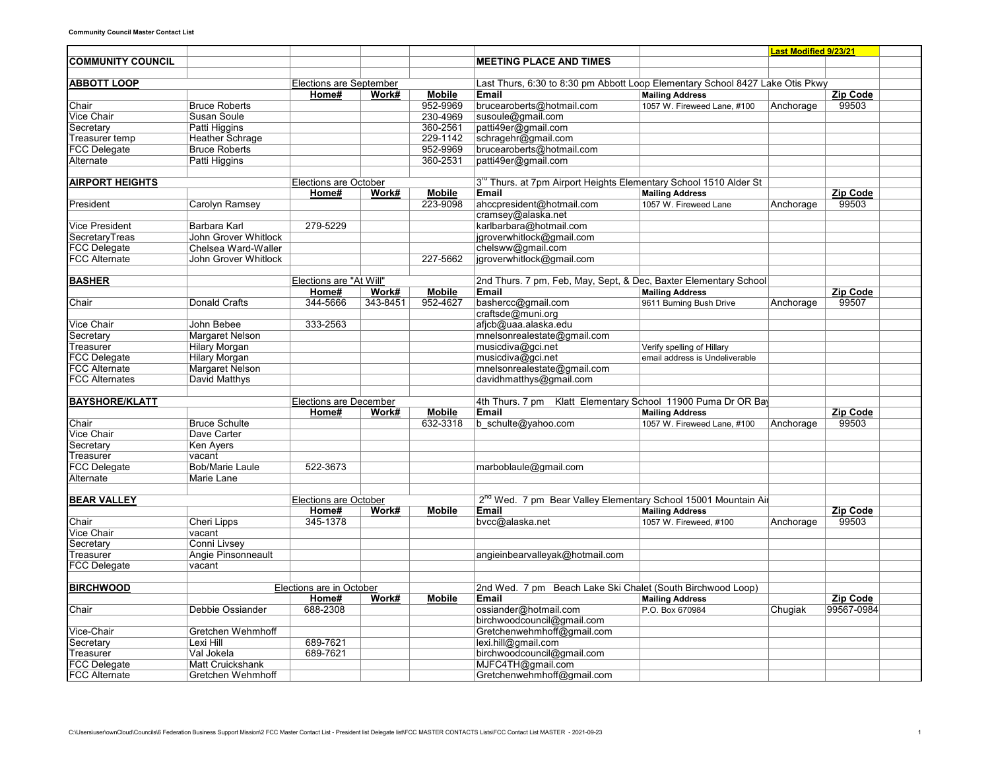|                          |                         |                                |          |               |                                                                                        |                                           | <b>Last Modified 9/23/21</b> |                        |  |
|--------------------------|-------------------------|--------------------------------|----------|---------------|----------------------------------------------------------------------------------------|-------------------------------------------|------------------------------|------------------------|--|
| <b>COMMUNITY COUNCIL</b> |                         |                                |          |               | <b>MEETING PLACE AND TIMES</b>                                                         |                                           |                              |                        |  |
|                          |                         |                                |          |               |                                                                                        |                                           |                              |                        |  |
| <b>ABBOTT LOOP</b>       |                         | <b>Elections are September</b> |          |               | Last Thurs, 6:30 to 8:30 pm Abbott Loop Elementary School 8427 Lake Otis Pkwy          |                                           |                              |                        |  |
|                          |                         | Home#                          | Work#    | <b>Mobile</b> | <b>Email</b>                                                                           | <b>Mailing Address</b>                    |                              | Zip Code               |  |
| Chair                    | <b>Bruce Roberts</b>    |                                |          | 952-9969      | brucearoberts@hotmail.com                                                              | 1057 W. Fireweed Lane, #100               | Anchorage                    | 99503                  |  |
| <b>Vice Chair</b>        | Susan Soule             |                                |          | 230-4969      | susoule@gmail.com                                                                      |                                           |                              |                        |  |
| Secretary                | Patti Higgins           |                                |          | 360-2561      | patti49er@gmail.com                                                                    |                                           |                              |                        |  |
| Treasurer temp           | <b>Heather Schrage</b>  |                                |          | 229-1142      | schragehr@gmail.com                                                                    |                                           |                              |                        |  |
| <b>FCC Delegate</b>      | <b>Bruce Roberts</b>    |                                |          | 952-9969      | brucearoberts@hotmail.com                                                              |                                           |                              |                        |  |
| Alternate                | Patti Higgins           |                                |          | 360-2531      | patti49er@gmail.com                                                                    |                                           |                              |                        |  |
| <b>AIRPORT HEIGHTS</b>   |                         |                                |          |               |                                                                                        |                                           |                              |                        |  |
|                          |                         | Elections are October<br>Home# | Work#    | <b>Mobile</b> | 3 <sup>rd</sup> Thurs. at 7pm Airport Heights Elementary School 1510 Alder St<br>Email | <b>Mailing Address</b>                    |                              | Zip Code               |  |
| President                | Carolyn Ramsey          |                                |          | 223-9098      | ahccpresident@hotmail.com                                                              | 1057 W. Fireweed Lane                     |                              | 99503                  |  |
|                          |                         |                                |          |               | cramsey@alaska.net                                                                     |                                           | Anchorage                    |                        |  |
| <b>Vice President</b>    | Barbara Karl            | 279-5229                       |          |               | karlbarbara@hotmail.com                                                                |                                           |                              |                        |  |
| SecretaryTreas           | John Grover Whitlock    |                                |          |               | jgroverwhitlock@gmail.com                                                              |                                           |                              |                        |  |
| <b>FCC Delegate</b>      | Chelsea Ward-Waller     |                                |          |               | chelsww@gmail.com                                                                      |                                           |                              |                        |  |
| <b>FCC Alternate</b>     | John Grover Whitlock    |                                |          | 227-5662      | jgroverwhitlock@gmail.com                                                              |                                           |                              |                        |  |
|                          |                         |                                |          |               |                                                                                        |                                           |                              |                        |  |
| <b>BASHER</b>            |                         | Elections are "At Will"        |          |               | 2nd Thurs. 7 pm, Feb, May, Sept, & Dec, Baxter Elementary School                       |                                           |                              |                        |  |
|                          |                         | Home#                          | Work#    | <b>Mobile</b> | Email                                                                                  | <b>Mailing Address</b>                    |                              | Zip Code               |  |
| Chair                    | <b>Donald Crafts</b>    | 344-5666                       | 343-8451 | 952-4627      | bashercc@gmail.com                                                                     | 9611 Burning Bush Drive                   | Anchorage                    | 99507                  |  |
|                          |                         |                                |          |               | craftsde@muni.org                                                                      |                                           |                              |                        |  |
| Vice Chair               | John Bebee              | 333-2563                       |          |               | afjcb@uaa.alaska.edu                                                                   |                                           |                              |                        |  |
| Secretary                | Margaret Nelson         |                                |          |               | mnelsonrealestate@gmail.com                                                            |                                           |                              |                        |  |
| Treasurer                | <b>Hilary Morgan</b>    |                                |          |               | musicdiva@gci.net                                                                      | Verify spelling of Hillary                |                              |                        |  |
| <b>FCC Delegate</b>      | <b>Hilary Morgan</b>    |                                |          |               | musicdiva@gci.net                                                                      | email address is Undeliverable            |                              |                        |  |
| <b>FCC Alternate</b>     | <b>Margaret Nelson</b>  |                                |          |               | mnelsonrealestate@gmail.com                                                            |                                           |                              |                        |  |
| <b>FCC Alternates</b>    | David Matthys           |                                |          |               | davidhmatthys@gmail.com                                                                |                                           |                              |                        |  |
|                          |                         |                                |          |               |                                                                                        |                                           |                              |                        |  |
| <b>BAYSHORE/KLATT</b>    |                         | <b>Elections are December</b>  |          |               | 4th Thurs. 7 pm Klatt Elementary School 11900 Puma Dr OR Bay                           |                                           |                              |                        |  |
|                          |                         | Home#                          | Work#    | <b>Mobile</b> | Email                                                                                  | <b>Mailing Address</b>                    |                              | Zip Code               |  |
| Chair                    | <b>Bruce Schulte</b>    |                                |          | 632-3318      | b schulte@yahoo.com                                                                    | 1057 W. Fireweed Lane, #100               | Anchorage                    | 99503                  |  |
| <b>Vice Chair</b>        | Dave Carter             |                                |          |               |                                                                                        |                                           |                              |                        |  |
| Secretary                | Ken Ayers               |                                |          |               |                                                                                        |                                           |                              |                        |  |
| Treasurer                | vacant                  |                                |          |               |                                                                                        |                                           |                              |                        |  |
| <b>FCC Delegate</b>      | <b>Bob/Marie Laule</b>  | 522-3673                       |          |               | marboblaule@gmail.com                                                                  |                                           |                              |                        |  |
| Alternate                | Marie Lane              |                                |          |               |                                                                                        |                                           |                              |                        |  |
|                          |                         |                                |          |               |                                                                                        |                                           |                              |                        |  |
| <b>BEAR VALLEY</b>       |                         | <b>Elections are October</b>   |          |               | 2 <sup>na</sup> Wed. 7 pm Bear Valley Elementary School 15001 Mountain Air             |                                           |                              |                        |  |
|                          |                         | Home#                          | Work#    | <b>Mobile</b> | <b>Email</b>                                                                           | <b>Mailing Address</b>                    |                              | Zip Code               |  |
| Chair                    | Cheri Lipps             | 345-1378                       |          |               | bvcc@alaska.net                                                                        | 1057 W. Fireweed, #100                    | Anchorage                    | 99503                  |  |
| <b>Vice Chair</b>        | vacant                  |                                |          |               |                                                                                        |                                           |                              |                        |  |
| Secretary                | Conni Livsey            |                                |          |               |                                                                                        |                                           |                              |                        |  |
| Treasurer                | Angie Pinsonneault      |                                |          |               | angieinbearvalleyak@hotmail.com                                                        |                                           |                              |                        |  |
| <b>FCC Delegate</b>      | vacant                  |                                |          |               |                                                                                        |                                           |                              |                        |  |
|                          |                         |                                |          |               |                                                                                        |                                           |                              |                        |  |
| <b>BIRCHWOOD</b>         |                         | Elections are in October       |          |               | 2nd Wed. 7 pm Beach Lake Ski Chalet (South Birchwood Loop)                             |                                           |                              |                        |  |
|                          | Debbie Ossiander        | Home#<br>688-2308              | Work#    | <b>Mobile</b> | Email                                                                                  | <b>Mailing Address</b><br>P.O. Box 670984 |                              | Zip Code<br>99567-0984 |  |
| Chair                    |                         |                                |          |               | ossiander@hotmail.com<br>birchwoodcouncil@gmail.com                                    |                                           | Chugiak                      |                        |  |
|                          | Gretchen Wehmhoff       |                                |          |               | Gretchenwehmhoff@gmail.com                                                             |                                           |                              |                        |  |
| Vice-Chair<br>Secretary  | Lexi Hill               | 689-7621                       |          |               | lexi.hill@gmail.com                                                                    |                                           |                              |                        |  |
| Treasurer                | Val Jokela              | 689-7621                       |          |               | birchwoodcouncil@gmail.com                                                             |                                           |                              |                        |  |
| <b>FCC Delegate</b>      | <b>Matt Cruickshank</b> |                                |          |               | MJFC4TH@gmail.com                                                                      |                                           |                              |                        |  |
| <b>FCC Alternate</b>     | Gretchen Wehmhoff       |                                |          |               | Gretchenwehmhoff@gmail.com                                                             |                                           |                              |                        |  |
|                          |                         |                                |          |               |                                                                                        |                                           |                              |                        |  |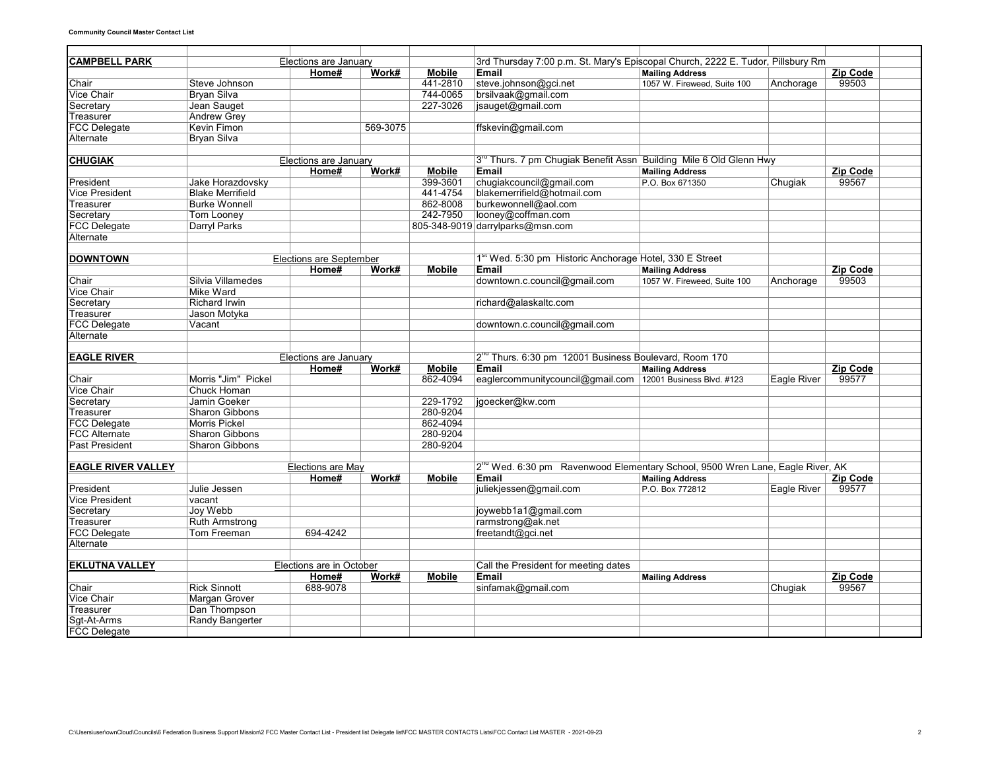| <b>CAMPBELL PARK</b>      |                         | Elections are January          |          |               | 3rd Thursday 7:00 p.m. St. Mary's Episcopal Church, 2222 E. Tudor, Pillsbury Rm     |                             |                    |                   |  |
|---------------------------|-------------------------|--------------------------------|----------|---------------|-------------------------------------------------------------------------------------|-----------------------------|--------------------|-------------------|--|
|                           |                         | Home#                          | Work#    | <b>Mobile</b> | Email                                                                               | <b>Mailing Address</b>      |                    | Zip Code          |  |
| Chair                     | Steve Johnson           |                                |          | 441-2810      | steve.johnson@gci.net                                                               | 1057 W. Fireweed, Suite 100 | Anchorage          | 99503             |  |
| <b>Vice Chair</b>         | <b>Bryan Silva</b>      |                                |          | 744-0065      | brsilvaak@gmail.com                                                                 |                             |                    |                   |  |
| Secretary                 | Jean Sauget             |                                |          | 227-3026      | jsauget@gmail.com                                                                   |                             |                    |                   |  |
| Treasurer                 | <b>Andrew Grey</b>      |                                |          |               |                                                                                     |                             |                    |                   |  |
| <b>FCC Delegate</b>       | <b>Kevin Fimon</b>      |                                | 569-3075 |               | ffskevin@gmail.com                                                                  |                             |                    |                   |  |
| Alternate                 | <b>Bryan Silva</b>      |                                |          |               |                                                                                     |                             |                    |                   |  |
|                           |                         |                                |          |               |                                                                                     |                             |                    |                   |  |
| <b>CHUGIAK</b>            |                         | Elections are January          |          |               | 3 <sup>rd</sup> Thurs. 7 pm Chugiak Benefit Assn Building Mile 6 Old Glenn Hwy      |                             |                    |                   |  |
|                           |                         | Home#                          | Work#    | <b>Mobile</b> | <b>Email</b>                                                                        | <b>Mailing Address</b>      |                    | <b>Zip Code</b>   |  |
| President                 | Jake Horazdovsky        |                                |          | 399-3601      | chugiakcouncil@gmail.com                                                            | P.O. Box 671350             | Chugiak            | 99567             |  |
| Vice President            | <b>Blake Merrifield</b> |                                |          | 441-4754      | blakemerrifield@hotmail.com                                                         |                             |                    |                   |  |
| Treasurer                 | <b>Burke Wonnell</b>    |                                |          | 862-8008      | burkewonnell@aol.com                                                                |                             |                    |                   |  |
| Secretary                 | <b>Tom Looney</b>       |                                |          | 242-7950      | looney@coffman.com                                                                  |                             |                    |                   |  |
| <b>FCC Delegate</b>       | Darryl Parks            |                                |          |               | 805-348-9019 darrylparks@msn.com                                                    |                             |                    |                   |  |
| Alternate                 |                         |                                |          |               |                                                                                     |                             |                    |                   |  |
| <b>DOWNTOWN</b>           |                         | <b>Elections are September</b> |          |               | 1 <sup>st</sup> Wed. 5:30 pm Historic Anchorage Hotel, 330 E Street                 |                             |                    |                   |  |
|                           |                         | Home#                          | Work#    | <b>Mobile</b> | Email                                                                               | <b>Mailing Address</b>      |                    | <b>Zip Code</b>   |  |
| Chair                     | Silvia Villamedes       |                                |          |               | downtown.c.council@gmail.com                                                        | 1057 W. Fireweed, Suite 100 | Anchorage          | 99503             |  |
| Vice Chair                | <b>Mike Ward</b>        |                                |          |               |                                                                                     |                             |                    |                   |  |
| Secretary                 | <b>Richard Irwin</b>    |                                |          |               | richard@alaskaltc.com                                                               |                             |                    |                   |  |
| Treasurer                 | Jason Motyka            |                                |          |               |                                                                                     |                             |                    |                   |  |
| <b>FCC Delegate</b>       | Vacant                  |                                |          |               | downtown.c.council@gmail.com                                                        |                             |                    |                   |  |
| Alternate                 |                         |                                |          |               |                                                                                     |                             |                    |                   |  |
|                           |                         |                                |          |               |                                                                                     |                             |                    |                   |  |
| <b>EAGLE RIVER</b>        |                         | Elections are January          |          |               | 2 <sup>nd</sup> Thurs. 6:30 pm 12001 Business Boulevard, Room 170                   |                             |                    |                   |  |
|                           |                         | Home#                          | Work#    | <b>Mobile</b> | Email                                                                               | <b>Mailing Address</b>      |                    | <b>Zip Code</b>   |  |
| Chair                     | Morris "Jim" Pickel     |                                |          | 862-4094      | eaglercommunitycouncil@gmail.com   12001 Business Blvd. #123                        |                             | Eagle River        | 99577             |  |
| <b>Vice Chair</b>         | Chuck Homan             |                                |          |               |                                                                                     |                             |                    |                   |  |
| Secretary                 | Jamin Goeker            |                                |          | 229-1792      | jgoecker@kw.com                                                                     |                             |                    |                   |  |
| Treasurer                 | <b>Sharon Gibbons</b>   |                                |          | 280-9204      |                                                                                     |                             |                    |                   |  |
| <b>FCC Delegate</b>       | <b>Morris Pickel</b>    |                                |          | 862-4094      |                                                                                     |                             |                    |                   |  |
| <b>FCC Alternate</b>      | <b>Sharon Gibbons</b>   |                                |          | 280-9204      |                                                                                     |                             |                    |                   |  |
| <b>Past President</b>     | <b>Sharon Gibbons</b>   |                                |          | 280-9204      |                                                                                     |                             |                    |                   |  |
|                           |                         |                                |          |               |                                                                                     |                             |                    |                   |  |
| <b>EAGLE RIVER VALLEY</b> |                         | <b>Elections are May</b>       |          |               | $2^{n_0}$ Wed. 6:30 pm Ravenwood Elementary School, 9500 Wren Lane, Eagle River, AK |                             |                    |                   |  |
|                           |                         | Home#                          | Work#    | <b>Mobile</b> | Email                                                                               | <b>Mailing Address</b>      |                    | <b>Zip Code</b>   |  |
| President                 | Julie Jessen            |                                |          |               | juliekjessen@gmail.com                                                              | P.O. Box 772812             | <b>Eagle River</b> | 99577             |  |
| <b>Vice President</b>     | vacant                  |                                |          |               |                                                                                     |                             |                    |                   |  |
| Secretary                 | Joy Webb                |                                |          |               | joywebb1a1@gmail.com                                                                |                             |                    |                   |  |
| Treasurer                 | <b>Ruth Armstrong</b>   |                                |          |               | rarmstrong@ak.net                                                                   |                             |                    |                   |  |
| <b>FCC Delegate</b>       | Tom Freeman             | 694-4242                       |          |               | freetandt@gci.net                                                                   |                             |                    |                   |  |
| Alternate                 |                         |                                |          |               |                                                                                     |                             |                    |                   |  |
| <b>EKLUTNA VALLEY</b>     |                         | Elections are in October       |          |               | Call the President for meeting dates                                                |                             |                    |                   |  |
|                           |                         | Home#                          | Work#    | <b>Mobile</b> | Email                                                                               |                             |                    |                   |  |
| Chair                     | <b>Rick Sinnott</b>     | 688-9078                       |          |               | sinfamak@gmail.com                                                                  | <b>Mailing Address</b>      |                    | Zip Code<br>99567 |  |
|                           |                         |                                |          |               |                                                                                     |                             | Chugiak            |                   |  |
| Vice Chair                | Margan Grover           |                                |          |               |                                                                                     |                             |                    |                   |  |
| Treasurer                 | Dan Thompson            |                                |          |               |                                                                                     |                             |                    |                   |  |
| Sqt-At-Arms               | Randy Bangerter         |                                |          |               |                                                                                     |                             |                    |                   |  |
| <b>FCC Delegate</b>       |                         |                                |          |               |                                                                                     |                             |                    |                   |  |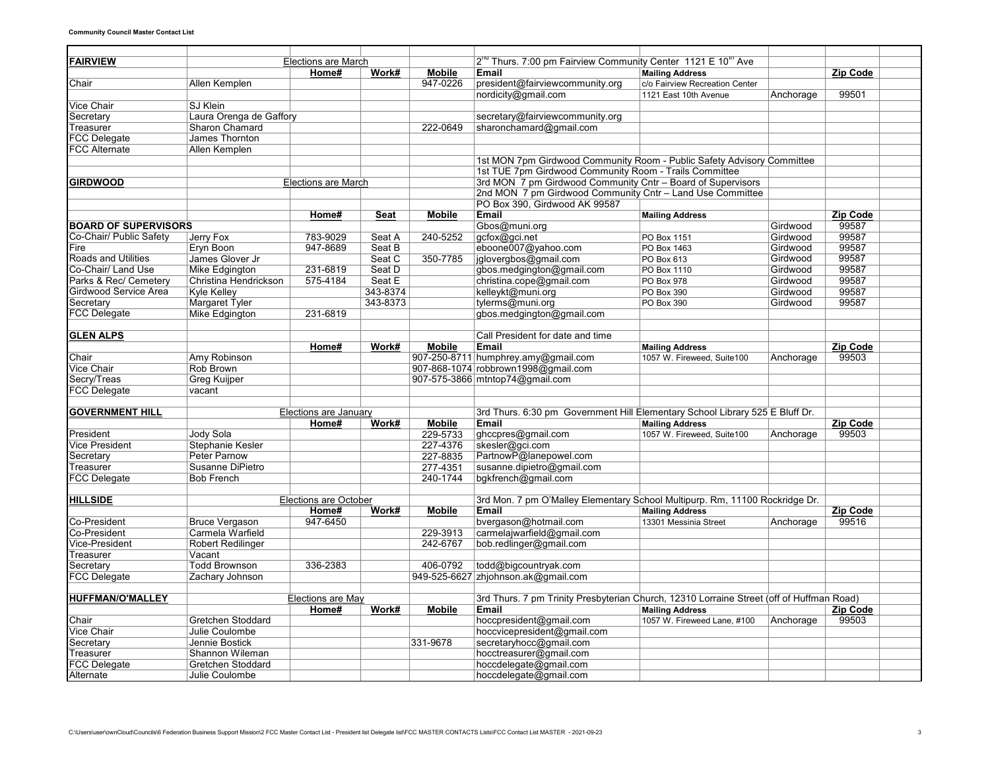| <b>FAIRVIEW</b>             |                          | Elections are March          |          |               | 2 <sup>nd</sup> Thurs. 7:00 pm Fairview Community Center 1121 E 10 <sup>th</sup> Ave     |                                |           |                 |  |
|-----------------------------|--------------------------|------------------------------|----------|---------------|------------------------------------------------------------------------------------------|--------------------------------|-----------|-----------------|--|
|                             |                          | Home#                        | Work#    | <b>Mobile</b> | Email                                                                                    | <b>Mailing Address</b>         |           | <b>Zip Code</b> |  |
| Chair                       | Allen Kemplen            |                              |          | 947-0226      | president@fairviewcommunity.org                                                          | c/o Fairview Recreation Center |           |                 |  |
|                             |                          |                              |          |               | nordicity@gmail.com                                                                      | 1121 East 10th Avenue          | Anchorage | 99501           |  |
| Vice Chair                  | <b>SJ Klein</b>          |                              |          |               |                                                                                          |                                |           |                 |  |
| Secretary                   | Laura Orenga de Gaffory  |                              |          |               | secretary@fairviewcommunity.org                                                          |                                |           |                 |  |
| Treasurer                   | Sharon Chamard           |                              |          | 222-0649      | sharonchamard@gmail.com                                                                  |                                |           |                 |  |
| <b>FCC Delegate</b>         | James Thornton           |                              |          |               |                                                                                          |                                |           |                 |  |
| <b>FCC Alternate</b>        | Allen Kemplen            |                              |          |               |                                                                                          |                                |           |                 |  |
|                             |                          |                              |          |               | 1st MON 7pm Girdwood Community Room - Public Safety Advisory Committee                   |                                |           |                 |  |
|                             |                          |                              |          |               | 1st TUE 7pm Girdwood Community Room - Trails Committee                                   |                                |           |                 |  |
| <b>GIRDWOOD</b>             |                          | <b>Elections are March</b>   |          |               | 3rd MON 7 pm Girdwood Community Cntr - Board of Supervisors                              |                                |           |                 |  |
|                             |                          |                              |          |               | 2nd MON 7 pm Girdwood Community Cntr - Land Use Committee                                |                                |           |                 |  |
|                             |                          |                              |          |               | PO Box 390. Girdwood AK 99587                                                            |                                |           |                 |  |
|                             |                          | Home#                        | Seat     | <b>Mobile</b> | Email                                                                                    | <b>Mailing Address</b>         |           | <b>Zip Code</b> |  |
| <b>BOARD OF SUPERVISORS</b> |                          |                              |          |               | Gbos@muni.org                                                                            |                                | Girdwood  | 99587           |  |
| Co-Chair/ Public Safety     | Jerry Fox                | 783-9029                     | Seat A   | 240-5252      | gcfox@gci.net                                                                            | PO Box 1151                    | Girdwood  | 99587           |  |
| Fire                        | Eryn Boon                | 947-8689                     | Seat B   |               | eboone007@yahoo.com                                                                      | <b>PO Box 1463</b>             | Girdwood  | 99587           |  |
| <b>Roads and Utilities</b>  | James Glover Jr          |                              | Seat C   | 350-7785      | jglovergbos@gmail.com                                                                    | PO Box 613                     | Girdwood  | 99587           |  |
| Co-Chair/ Land Use          | <b>Mike Edgington</b>    | 231-6819                     | Seat D   |               | gbos.medgington@gmail.com                                                                | <b>PO Box 1110</b>             | Girdwood  | 99587           |  |
| Parks & Rec/ Cemetery       | Christina Hendrickson    | 575-4184                     | Seat E   |               | christina.cope@gmail.com                                                                 | PO Box 978                     | Girdwood  | 99587           |  |
| Girdwood Service Area       | <b>Kyle Kelley</b>       |                              | 343-8374 |               | kelleykt@muni.org                                                                        | PO Box 390                     | Girdwood  | 99587           |  |
| Secretary                   | <b>Margaret Tyler</b>    |                              | 343-8373 |               | tylerms@muni.org                                                                         | <b>PO Box 390</b>              | Girdwood  | 99587           |  |
| <b>FCC Delegate</b>         | Mike Edgington           | 231-6819                     |          |               | gbos.medgington@gmail.com                                                                |                                |           |                 |  |
|                             |                          |                              |          |               |                                                                                          |                                |           |                 |  |
| <b>GLEN ALPS</b>            |                          |                              |          |               | Call President for date and time                                                         |                                |           |                 |  |
|                             |                          | Home#                        | Work#    | <b>Mobile</b> | Email                                                                                    | <b>Mailing Address</b>         |           | Zip Code        |  |
| Chair                       | Amy Robinson             |                              |          |               | 907-250-8711 humphrey.amy@gmail.com                                                      | 1057 W. Fireweed, Suite100     | Anchorage | 99503           |  |
| <b>Vice Chair</b>           | Rob Brown                |                              |          |               | 907-868-1074 robbrown1998@gmail.com                                                      |                                |           |                 |  |
| Secry/Treas                 | Greg Kuijper             |                              |          |               | 907-575-3866 mtntop74@gmail.com                                                          |                                |           |                 |  |
| <b>FCC Delegate</b>         | vacant                   |                              |          |               |                                                                                          |                                |           |                 |  |
|                             |                          |                              |          |               |                                                                                          |                                |           |                 |  |
| <b>GOVERNMENT HILL</b>      |                          | Elections are January        |          |               | 3rd Thurs. 6:30 pm Government Hill Elementary School Library 525 E Bluff Dr.             |                                |           |                 |  |
|                             |                          | Home#                        | Work#    | <b>Mobile</b> | Email                                                                                    | <b>Mailing Address</b>         |           | <b>Zip Code</b> |  |
| President                   | Jody Sola                |                              |          | 229-5733      | ghccpres@gmail.com                                                                       | 1057 W. Fireweed, Suite100     | Anchorage | 99503           |  |
| Vice President              | Stephanie Kesler         |                              |          | 227-4376      | skesler@gci.com                                                                          |                                |           |                 |  |
| Secretary                   | Peter Parnow             |                              |          | 227-8835      | PartnowP@lanepowel.com                                                                   |                                |           |                 |  |
| Treasurer                   | Susanne DiPietro         |                              |          | 277-4351      | susanne.dipietro@gmail.com                                                               |                                |           |                 |  |
| <b>FCC Delegate</b>         | <b>Bob French</b>        |                              |          | 240-1744      | bgkfrench@gmail.com                                                                      |                                |           |                 |  |
|                             |                          |                              |          |               |                                                                                          |                                |           |                 |  |
| <b>HILLSIDE</b>             |                          | <b>Elections are October</b> |          |               | 3rd Mon. 7 pm O'Malley Elementary School Multipurp. Rm, 11100 Rockridge Dr.              |                                |           |                 |  |
|                             |                          | Home#                        | Work#    | <b>Mobile</b> | Email                                                                                    | <b>Mailing Address</b>         |           | Zip Code        |  |
| Co-President                | <b>Bruce Vergason</b>    | 947-6450                     |          |               | bvergason@hotmail.com                                                                    | 13301 Messinia Street          | Anchorage | 99516           |  |
| Co-President                | Carmela Warfield         |                              |          | 229-3913      | carmelajwarfield@gmail.com                                                               |                                |           |                 |  |
| Vice-President              | <b>Robert Redilinger</b> |                              |          | 242-6767      | bob.redlinger@gmail.com                                                                  |                                |           |                 |  |
| Treasurer                   | Vacant                   |                              |          |               |                                                                                          |                                |           |                 |  |
| Secretary                   | <b>Todd Brownson</b>     | 336-2383                     |          | 406-0792      | todd@bigcountryak.com                                                                    |                                |           |                 |  |
| <b>FCC Delegate</b>         | Zachary Johnson          |                              |          |               | 949-525-6627 zhjohnson.ak@gmail.com                                                      |                                |           |                 |  |
|                             |                          |                              |          |               |                                                                                          |                                |           |                 |  |
| <b>HUFFMAN/O'MALLEY</b>     |                          | <b>Elections are May</b>     |          |               | 3rd Thurs. 7 pm Trinity Presbyterian Church, 12310 Lorraine Street (off of Huffman Road) |                                |           |                 |  |
|                             |                          | Home#                        | Work#    | <b>Mobile</b> | Email                                                                                    | <b>Mailing Address</b>         |           | Zip Code        |  |
| Chair                       | Gretchen Stoddard        |                              |          |               | hoccpresident@gmail.com                                                                  | 1057 W. Fireweed Lane, #100    | Anchorage | 99503           |  |
| <b>Vice Chair</b>           | Julie Coulombe           |                              |          |               | hoccvicepresident@gmail.com                                                              |                                |           |                 |  |
| Secretary                   | Jennie Bostick           |                              |          | 331-9678      | secretaryhocc@gmail.com                                                                  |                                |           |                 |  |
| Treasurer                   | Shannon Wileman          |                              |          |               | hocctreasurer@gmail.com                                                                  |                                |           |                 |  |
| <b>FCC Delegate</b>         | Gretchen Stoddard        |                              |          |               | hoccdelegate@gmail.com                                                                   |                                |           |                 |  |
| Alternate                   | Julie Coulombe           |                              |          |               | hoccdelegate@gmail.com                                                                   |                                |           |                 |  |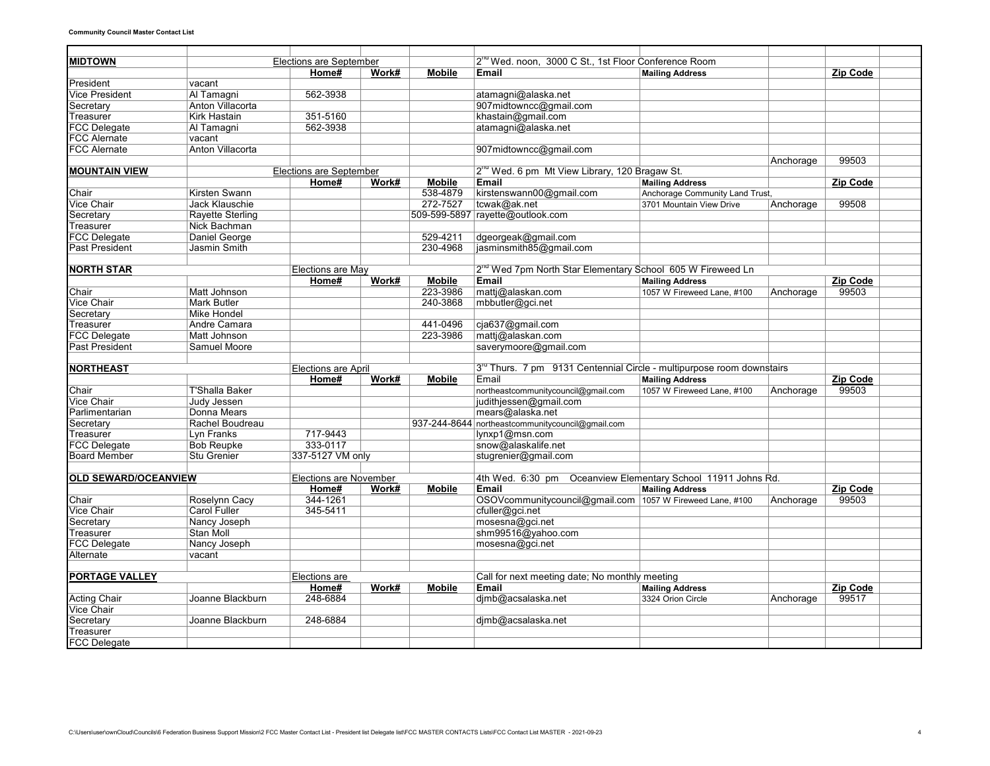| <b>MIDTOWN</b>              |                                         | <b>Elections are September</b> |       |               | 2 <sup>rd</sup> Wed. noon, 3000 C St., 1st Floor Conference Room                  |                                |           |          |  |
|-----------------------------|-----------------------------------------|--------------------------------|-------|---------------|-----------------------------------------------------------------------------------|--------------------------------|-----------|----------|--|
|                             |                                         | Home#                          | Work# | <b>Mobile</b> | Email                                                                             | <b>Mailing Address</b>         |           | Zip Code |  |
| President                   | vacant                                  |                                |       |               |                                                                                   |                                |           |          |  |
| <b>Vice President</b>       | Al Tamagni                              | 562-3938                       |       |               | atamagni@alaska.net                                                               |                                |           |          |  |
| Secretary                   | Anton Villacorta                        |                                |       |               | 907midtowncc@gmail.com                                                            |                                |           |          |  |
| Treasurer                   | <b>Kirk Hastain</b>                     | 351-5160                       |       |               | khastain@gmail.com                                                                |                                |           |          |  |
| <b>FCC Delegate</b>         | Al Tamagni                              | 562-3938                       |       |               | atamagni@alaska.net                                                               |                                |           |          |  |
| <b>FCC Alernate</b>         | vacant                                  |                                |       |               |                                                                                   |                                |           |          |  |
| <b>FCC Alernate</b>         | Anton Villacorta                        |                                |       |               | 907midtowncc@gmail.com                                                            |                                |           |          |  |
|                             |                                         |                                |       |               |                                                                                   |                                | Anchorage | 99503    |  |
| <b>MOUNTAIN VIEW</b>        |                                         | <b>Elections are September</b> |       |               | 2 <sup>no</sup> Wed. 6 pm Mt View Library, 120 Bragaw St.                         |                                |           |          |  |
|                             |                                         | Home#                          | Work# | <b>Mobile</b> | Email                                                                             | <b>Mailing Address</b>         |           | Zip Code |  |
| Chair                       | Kirsten Swann                           |                                |       | 538-4879      | kirstenswann00@gmail.com                                                          | Anchorage Community Land Trust |           |          |  |
| <b>Vice Chair</b>           | Jack Klauschie                          |                                |       | 272-7527      | tcwak@ak.net                                                                      | 3701 Mountain View Drive       | Anchorage | 99508    |  |
| Secretary                   | <b>Rayette Sterling</b>                 |                                |       |               | 509-599-5897 rayette@outlook.com                                                  |                                |           |          |  |
| Treasurer                   | Nick Bachman                            |                                |       |               |                                                                                   |                                |           |          |  |
| <b>FCC Delegate</b>         | Daniel George                           |                                |       | 529-4211      | dgeorgeak@gmail.com                                                               |                                |           |          |  |
| <b>Past President</b>       | Jasmin Smith                            |                                |       | 230-4968      | jasminsmith85@gmail.com                                                           |                                |           |          |  |
|                             |                                         |                                |       |               |                                                                                   |                                |           |          |  |
| <b>NORTH STAR</b>           |                                         | <b>Elections are May</b>       |       |               | 2 <sup>nd</sup> Wed 7pm North Star Elementary School 605 W Fireweed Ln            |                                |           |          |  |
|                             |                                         | Home#                          | Work# | <b>Mobile</b> | Email                                                                             | <b>Mailing Address</b>         |           | Zip Code |  |
| Chair                       | Matt Johnson                            |                                |       | 223-3986      | mattj@alaskan.com                                                                 | 1057 W Fireweed Lane, #100     | Anchorage | 99503    |  |
| <b>Vice Chair</b>           | <b>Mark Butler</b>                      |                                |       | 240-3868      | mbbutler@gci.net                                                                  |                                |           |          |  |
| Secretary                   | <b>Mike Hondel</b>                      |                                |       |               |                                                                                   |                                |           |          |  |
| Treasurer                   | Andre Camara                            |                                |       | 441-0496      | cja637@gmail.com                                                                  |                                |           |          |  |
| <b>FCC Delegate</b>         | Matt Johnson                            |                                |       | 223-3986      | matti@alaskan.com                                                                 |                                |           |          |  |
| <b>Past President</b>       | Samuel Moore                            |                                |       |               | saverymoore@gmail.com                                                             |                                |           |          |  |
|                             |                                         |                                |       |               |                                                                                   |                                |           |          |  |
| <b>NORTHEAST</b>            |                                         | Elections are April            |       |               | 3 <sup>rd</sup> Thurs. 7 pm 9131 Centennial Circle - multipurpose room downstairs |                                |           |          |  |
|                             |                                         | Home#                          | Work# | <b>Mobile</b> | Email                                                                             | <b>Mailing Address</b>         |           | Zip Code |  |
| Chair                       | <b>T'Shalla Baker</b>                   |                                |       |               | northeastcommunitycouncil@gmail.com                                               | 1057 W Fireweed Lane, #100     | Anchorage | 99503    |  |
| <b>Vice Chair</b>           | <b>Judy Jessen</b>                      |                                |       |               | judithjessen@gmail.com                                                            |                                |           |          |  |
| Parlimentarian              | Donna Mears                             |                                |       |               | mears@alaska.net                                                                  |                                |           |          |  |
| Secretary                   | Rachel Boudreau                         |                                |       |               | 937-244-8644 northeastcommunitycouncil@gmail.com                                  |                                |           |          |  |
| Treasurer                   | Lyn Franks                              | 717-9443                       |       |               | lynxp1@msn.com                                                                    |                                |           |          |  |
| <b>FCC Delegate</b>         |                                         | 333-0117                       |       |               |                                                                                   |                                |           |          |  |
| <b>Board Member</b>         | <b>Bob Reupke</b><br><b>Stu Grenier</b> | 337-5127 VM only               |       |               | snow@alaskalife.net<br>stugrenier@gmail.com                                       |                                |           |          |  |
|                             |                                         |                                |       |               |                                                                                   |                                |           |          |  |
|                             |                                         |                                |       |               | 4th Wed. 6:30 pm Oceanview Elementary School 11911 Johns Rd.                      |                                |           |          |  |
| <b>OLD SEWARD/OCEANVIEW</b> |                                         | Elections are November         |       |               |                                                                                   |                                |           |          |  |
|                             |                                         | Home#                          | Work# | <b>Mobile</b> | <b>Email</b>                                                                      | <b>Mailing Address</b>         |           | Zip Code |  |
| Chair                       | Roselynn Cacy                           | 344-1261                       |       |               | OSOVcommunitycouncil@gmail.com 1057 W Fireweed Lane, #100                         |                                | Anchorage | 99503    |  |
| Vice Chair                  | <b>Carol Fuller</b>                     | 345-5411                       |       |               | cfuller@gci.net                                                                   |                                |           |          |  |
| Secretary                   | Nancy Joseph                            |                                |       |               | mosesna@gci.net                                                                   |                                |           |          |  |
| Treasurer                   | Stan Moll                               |                                |       |               | shm99516@yahoo.com                                                                |                                |           |          |  |
| <b>FCC Delegate</b>         | Nancy Joseph                            |                                |       |               | mosesna@gci.net                                                                   |                                |           |          |  |
| Alternate                   | vacant                                  |                                |       |               |                                                                                   |                                |           |          |  |
|                             |                                         |                                |       |               |                                                                                   |                                |           |          |  |
| <b>PORTAGE VALLEY</b>       |                                         | Elections are                  |       |               | Call for next meeting date; No monthly meeting                                    |                                |           |          |  |
|                             |                                         | Home#                          | Work# | <b>Mobile</b> | Email                                                                             | <b>Mailing Address</b>         |           | Zip Code |  |
| <b>Acting Chair</b>         | Joanne Blackburn                        | 248-6884                       |       |               | dimb@acsalaska.net                                                                | 3324 Orion Circle              | Anchorage | 99517    |  |
| <b>Vice Chair</b>           |                                         |                                |       |               |                                                                                   |                                |           |          |  |
| Secretary                   | Joanne Blackburn                        | 248-6884                       |       |               | djmb@acsalaska.net                                                                |                                |           |          |  |
| Treasurer                   |                                         |                                |       |               |                                                                                   |                                |           |          |  |
| <b>FCC Delegate</b>         |                                         |                                |       |               |                                                                                   |                                |           |          |  |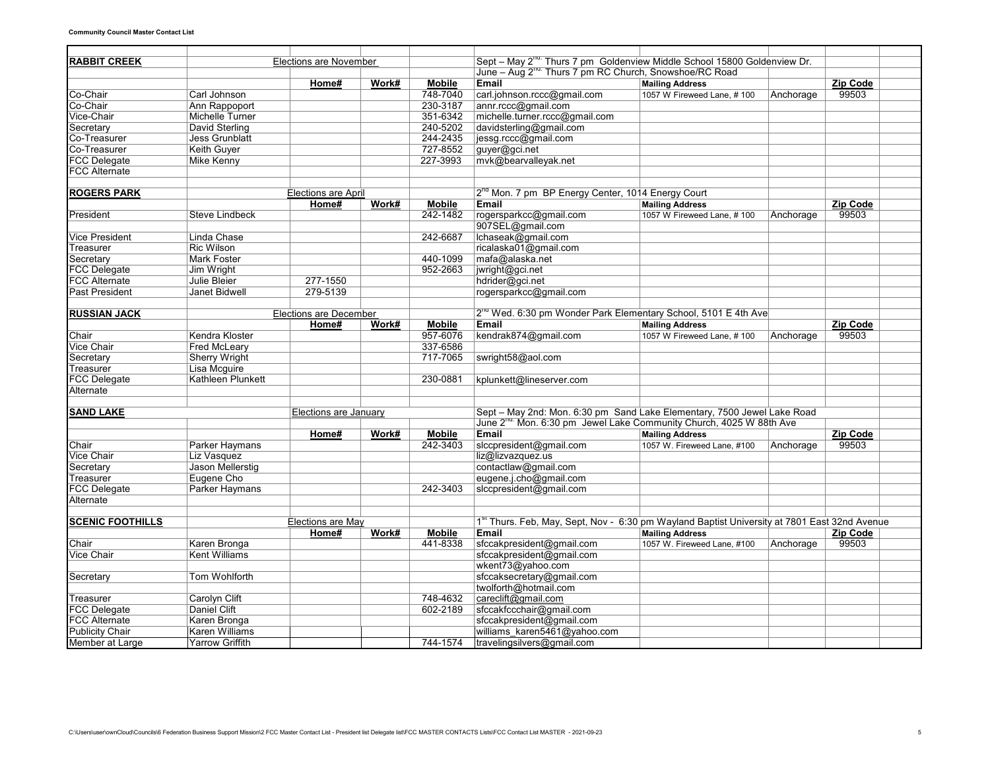| Sept – May 2 <sup>nd:</sup> Thurs 7 pm Goldenview Middle School 15800 Goldenview Dr.<br><b>Elections are November</b><br>June - Aug 2 <sup>nd:</sup> Thurs 7 pm RC Church, Snowshoe/RC Road<br>Email<br>Zip Code<br>Home#<br>Work#<br><b>Mobile</b><br><b>Mailing Address</b><br>748-7040<br>carl.johnson.rccc@gmail.com<br>Carl Johnson<br>99503<br>1057 W Fireweed Lane, #100<br>Anchorage<br>230-3187<br>annr.rccc@gmail.com<br>Ann Rappoport<br>351-6342<br>michelle.turner.rccc@gmail.com<br>Michelle Turner<br>davidsterling@gmail.com<br>David Sterling<br>240-5202<br><b>Jess Grunblatt</b><br>244-2435<br>jessg.rccc@gmail.com<br>727-8552<br>guyer@gci.net<br>Keith Guyer<br><b>FCC Delegate</b><br>227-3993<br>mvk@bearvalleyak.net<br>Mike Kenny<br>2 <sup>nd</sup> Mon. 7 pm BP Energy Center, 1014 Energy Court<br>Elections are April<br>Work#<br>Zip Code<br>Home#<br><b>Mobile</b><br>Email<br><b>Mailing Address</b><br>242-1482<br>rogersparkcc@gmail.com<br>99503<br>President<br><b>Steve Lindbeck</b><br>1057 W Fireweed Lane, #100<br>Anchorage<br>907SEL@gmail.com<br>lchaseak@gmail.com<br>Vice President<br>Linda Chase<br>242-6687<br><b>Ric Wilson</b><br>ricalaska01@gmail.com<br>Treasurer<br><b>Mark Foster</b><br>440-1099<br>mafa@alaska.net<br>Secretary<br>952-2663<br><b>FCC Delegate</b><br>Jim Wright<br>jwright@gci.net<br><b>FCC Alternate</b><br>277-1550<br>Julie Bleier<br>hdrider@gci.net<br><b>Past President</b><br>279-5139<br>Janet Bidwell<br>rogersparkcc@gmail.com<br>2 <sup>na</sup> Wed. 6:30 pm Wonder Park Elementary School, 5101 E 4th Ave<br><b>RUSSIAN JACK</b><br>Elections are December<br>Work#<br><b>Mobile</b><br>Email<br>Zip Code<br>Home#<br><b>Mailing Address</b><br>957-6076<br>kendrak874@gmail.com<br>Kendra Kloster<br>99503<br>Chair<br>1057 W Fireweed Lane, #100<br>Anchorage<br><b>Vice Chair</b><br>337-6586<br><b>Fred McLearv</b><br>Secretary<br>717-7065<br><b>Sherry Wright</b><br>swright58@aol.com<br>Treasurer<br>Lisa Mcguire<br><b>FCC Delegate</b><br>Kathleen Plunkett<br>230-0881<br>kplunkett@lineserver.com<br>Alternate<br>Sept - May 2nd: Mon. 6:30 pm Sand Lake Elementary, 7500 Jewel Lake Road<br><b>SAND LAKE</b><br>Elections are January<br>June 2 $^{\text{na}}$ Mon. 6:30 pm Jewel Lake Community Church, 4025 W 88th Ave<br>Work#<br><b>Mobile</b><br>Email<br>Zip Code<br>Home#<br><b>Mailing Address</b><br>242-3403<br>slccpresident@gmail.com<br>99503<br>Chair<br>Parker Haymans<br>1057 W. Fireweed Lane, #100<br>Anchorage<br>liz@lizvazquez.us<br>Vice Chair<br>Liz Vasquez<br>Secretary<br>Jason Mellerstig<br>contactlaw@gmail.com<br>Eugene Cho<br>eugene.j.cho@gmail.com<br>Treasurer<br><b>FCC Delegate</b><br>Parker Haymans<br>242-3403<br>slccpresident@gmail.com<br>Alternate<br>1 <sup>st</sup> Thurs. Feb, May, Sept, Nov - 6:30 pm Wayland Baptist University at 7801 East 32nd Avenue<br><b>SCENIC FOOTHILLS</b><br>Elections are May<br>Zip Code<br><b>Mobile</b><br>Email<br>Home#<br>Work#<br><b>Mailing Address</b><br>441-8338<br>sfccakpresident@gmail.com<br>99503<br>Karen Bronga<br>1057 W. Fireweed Lane, #100<br>Anchorage<br>Kent Williams<br>sfccakpresident@gmail.com<br>wkent73@yahoo.com<br>sfccaksecretary@gmail.com<br>Tom Wohlforth<br>twolforth@hotmail.com<br>careclift@gmail.com<br>Carolyn Clift<br>748-4632<br>Treasurer<br><b>FCC Delegate</b><br>Daniel Clift<br>602-2189<br>sfccakfccchair@gmail.com<br><b>FCC Alternate</b><br>Karen Bronga<br>sfccakpresident@gmail.com |                        |                |  |  |                              |  |  |  |
|-----------------------------------------------------------------------------------------------------------------------------------------------------------------------------------------------------------------------------------------------------------------------------------------------------------------------------------------------------------------------------------------------------------------------------------------------------------------------------------------------------------------------------------------------------------------------------------------------------------------------------------------------------------------------------------------------------------------------------------------------------------------------------------------------------------------------------------------------------------------------------------------------------------------------------------------------------------------------------------------------------------------------------------------------------------------------------------------------------------------------------------------------------------------------------------------------------------------------------------------------------------------------------------------------------------------------------------------------------------------------------------------------------------------------------------------------------------------------------------------------------------------------------------------------------------------------------------------------------------------------------------------------------------------------------------------------------------------------------------------------------------------------------------------------------------------------------------------------------------------------------------------------------------------------------------------------------------------------------------------------------------------------------------------------------------------------------------------------------------------------------------------------------------------------------------------------------------------------------------------------------------------------------------------------------------------------------------------------------------------------------------------------------------------------------------------------------------------------------------------------------------------------------------------------------------------------------------------------------------------------------------------------------------------------------------------------------------------------------------------------------------------------------------------------------------------------------------------------------------------------------------------------------------------------------------------------------------------------------------------------------------------------------------------------------------------------------------------------------------------------------------------------------------------------------------------------------------------------------------------------------------------------------------------------------------------------------------------------------------------------------------------------------------------------------------------------------------------------------------------------------------------------------------|------------------------|----------------|--|--|------------------------------|--|--|--|
|                                                                                                                                                                                                                                                                                                                                                                                                                                                                                                                                                                                                                                                                                                                                                                                                                                                                                                                                                                                                                                                                                                                                                                                                                                                                                                                                                                                                                                                                                                                                                                                                                                                                                                                                                                                                                                                                                                                                                                                                                                                                                                                                                                                                                                                                                                                                                                                                                                                                                                                                                                                                                                                                                                                                                                                                                                                                                                                                                                                                                                                                                                                                                                                                                                                                                                                                                                                                                                                                                                                                   | <b>RABBIT CREEK</b>    |                |  |  |                              |  |  |  |
|                                                                                                                                                                                                                                                                                                                                                                                                                                                                                                                                                                                                                                                                                                                                                                                                                                                                                                                                                                                                                                                                                                                                                                                                                                                                                                                                                                                                                                                                                                                                                                                                                                                                                                                                                                                                                                                                                                                                                                                                                                                                                                                                                                                                                                                                                                                                                                                                                                                                                                                                                                                                                                                                                                                                                                                                                                                                                                                                                                                                                                                                                                                                                                                                                                                                                                                                                                                                                                                                                                                                   |                        |                |  |  |                              |  |  |  |
|                                                                                                                                                                                                                                                                                                                                                                                                                                                                                                                                                                                                                                                                                                                                                                                                                                                                                                                                                                                                                                                                                                                                                                                                                                                                                                                                                                                                                                                                                                                                                                                                                                                                                                                                                                                                                                                                                                                                                                                                                                                                                                                                                                                                                                                                                                                                                                                                                                                                                                                                                                                                                                                                                                                                                                                                                                                                                                                                                                                                                                                                                                                                                                                                                                                                                                                                                                                                                                                                                                                                   |                        |                |  |  |                              |  |  |  |
|                                                                                                                                                                                                                                                                                                                                                                                                                                                                                                                                                                                                                                                                                                                                                                                                                                                                                                                                                                                                                                                                                                                                                                                                                                                                                                                                                                                                                                                                                                                                                                                                                                                                                                                                                                                                                                                                                                                                                                                                                                                                                                                                                                                                                                                                                                                                                                                                                                                                                                                                                                                                                                                                                                                                                                                                                                                                                                                                                                                                                                                                                                                                                                                                                                                                                                                                                                                                                                                                                                                                   | Co-Chair               |                |  |  |                              |  |  |  |
|                                                                                                                                                                                                                                                                                                                                                                                                                                                                                                                                                                                                                                                                                                                                                                                                                                                                                                                                                                                                                                                                                                                                                                                                                                                                                                                                                                                                                                                                                                                                                                                                                                                                                                                                                                                                                                                                                                                                                                                                                                                                                                                                                                                                                                                                                                                                                                                                                                                                                                                                                                                                                                                                                                                                                                                                                                                                                                                                                                                                                                                                                                                                                                                                                                                                                                                                                                                                                                                                                                                                   | Co-Chair               |                |  |  |                              |  |  |  |
|                                                                                                                                                                                                                                                                                                                                                                                                                                                                                                                                                                                                                                                                                                                                                                                                                                                                                                                                                                                                                                                                                                                                                                                                                                                                                                                                                                                                                                                                                                                                                                                                                                                                                                                                                                                                                                                                                                                                                                                                                                                                                                                                                                                                                                                                                                                                                                                                                                                                                                                                                                                                                                                                                                                                                                                                                                                                                                                                                                                                                                                                                                                                                                                                                                                                                                                                                                                                                                                                                                                                   | Vice-Chair             |                |  |  |                              |  |  |  |
|                                                                                                                                                                                                                                                                                                                                                                                                                                                                                                                                                                                                                                                                                                                                                                                                                                                                                                                                                                                                                                                                                                                                                                                                                                                                                                                                                                                                                                                                                                                                                                                                                                                                                                                                                                                                                                                                                                                                                                                                                                                                                                                                                                                                                                                                                                                                                                                                                                                                                                                                                                                                                                                                                                                                                                                                                                                                                                                                                                                                                                                                                                                                                                                                                                                                                                                                                                                                                                                                                                                                   | Secretary              |                |  |  |                              |  |  |  |
|                                                                                                                                                                                                                                                                                                                                                                                                                                                                                                                                                                                                                                                                                                                                                                                                                                                                                                                                                                                                                                                                                                                                                                                                                                                                                                                                                                                                                                                                                                                                                                                                                                                                                                                                                                                                                                                                                                                                                                                                                                                                                                                                                                                                                                                                                                                                                                                                                                                                                                                                                                                                                                                                                                                                                                                                                                                                                                                                                                                                                                                                                                                                                                                                                                                                                                                                                                                                                                                                                                                                   | Co-Treasurer           |                |  |  |                              |  |  |  |
|                                                                                                                                                                                                                                                                                                                                                                                                                                                                                                                                                                                                                                                                                                                                                                                                                                                                                                                                                                                                                                                                                                                                                                                                                                                                                                                                                                                                                                                                                                                                                                                                                                                                                                                                                                                                                                                                                                                                                                                                                                                                                                                                                                                                                                                                                                                                                                                                                                                                                                                                                                                                                                                                                                                                                                                                                                                                                                                                                                                                                                                                                                                                                                                                                                                                                                                                                                                                                                                                                                                                   | Co-Treasurer           |                |  |  |                              |  |  |  |
|                                                                                                                                                                                                                                                                                                                                                                                                                                                                                                                                                                                                                                                                                                                                                                                                                                                                                                                                                                                                                                                                                                                                                                                                                                                                                                                                                                                                                                                                                                                                                                                                                                                                                                                                                                                                                                                                                                                                                                                                                                                                                                                                                                                                                                                                                                                                                                                                                                                                                                                                                                                                                                                                                                                                                                                                                                                                                                                                                                                                                                                                                                                                                                                                                                                                                                                                                                                                                                                                                                                                   |                        |                |  |  |                              |  |  |  |
|                                                                                                                                                                                                                                                                                                                                                                                                                                                                                                                                                                                                                                                                                                                                                                                                                                                                                                                                                                                                                                                                                                                                                                                                                                                                                                                                                                                                                                                                                                                                                                                                                                                                                                                                                                                                                                                                                                                                                                                                                                                                                                                                                                                                                                                                                                                                                                                                                                                                                                                                                                                                                                                                                                                                                                                                                                                                                                                                                                                                                                                                                                                                                                                                                                                                                                                                                                                                                                                                                                                                   | <b>FCC Alternate</b>   |                |  |  |                              |  |  |  |
|                                                                                                                                                                                                                                                                                                                                                                                                                                                                                                                                                                                                                                                                                                                                                                                                                                                                                                                                                                                                                                                                                                                                                                                                                                                                                                                                                                                                                                                                                                                                                                                                                                                                                                                                                                                                                                                                                                                                                                                                                                                                                                                                                                                                                                                                                                                                                                                                                                                                                                                                                                                                                                                                                                                                                                                                                                                                                                                                                                                                                                                                                                                                                                                                                                                                                                                                                                                                                                                                                                                                   |                        |                |  |  |                              |  |  |  |
|                                                                                                                                                                                                                                                                                                                                                                                                                                                                                                                                                                                                                                                                                                                                                                                                                                                                                                                                                                                                                                                                                                                                                                                                                                                                                                                                                                                                                                                                                                                                                                                                                                                                                                                                                                                                                                                                                                                                                                                                                                                                                                                                                                                                                                                                                                                                                                                                                                                                                                                                                                                                                                                                                                                                                                                                                                                                                                                                                                                                                                                                                                                                                                                                                                                                                                                                                                                                                                                                                                                                   | <b>ROGERS PARK</b>     |                |  |  |                              |  |  |  |
|                                                                                                                                                                                                                                                                                                                                                                                                                                                                                                                                                                                                                                                                                                                                                                                                                                                                                                                                                                                                                                                                                                                                                                                                                                                                                                                                                                                                                                                                                                                                                                                                                                                                                                                                                                                                                                                                                                                                                                                                                                                                                                                                                                                                                                                                                                                                                                                                                                                                                                                                                                                                                                                                                                                                                                                                                                                                                                                                                                                                                                                                                                                                                                                                                                                                                                                                                                                                                                                                                                                                   |                        |                |  |  |                              |  |  |  |
|                                                                                                                                                                                                                                                                                                                                                                                                                                                                                                                                                                                                                                                                                                                                                                                                                                                                                                                                                                                                                                                                                                                                                                                                                                                                                                                                                                                                                                                                                                                                                                                                                                                                                                                                                                                                                                                                                                                                                                                                                                                                                                                                                                                                                                                                                                                                                                                                                                                                                                                                                                                                                                                                                                                                                                                                                                                                                                                                                                                                                                                                                                                                                                                                                                                                                                                                                                                                                                                                                                                                   |                        |                |  |  |                              |  |  |  |
|                                                                                                                                                                                                                                                                                                                                                                                                                                                                                                                                                                                                                                                                                                                                                                                                                                                                                                                                                                                                                                                                                                                                                                                                                                                                                                                                                                                                                                                                                                                                                                                                                                                                                                                                                                                                                                                                                                                                                                                                                                                                                                                                                                                                                                                                                                                                                                                                                                                                                                                                                                                                                                                                                                                                                                                                                                                                                                                                                                                                                                                                                                                                                                                                                                                                                                                                                                                                                                                                                                                                   |                        |                |  |  |                              |  |  |  |
|                                                                                                                                                                                                                                                                                                                                                                                                                                                                                                                                                                                                                                                                                                                                                                                                                                                                                                                                                                                                                                                                                                                                                                                                                                                                                                                                                                                                                                                                                                                                                                                                                                                                                                                                                                                                                                                                                                                                                                                                                                                                                                                                                                                                                                                                                                                                                                                                                                                                                                                                                                                                                                                                                                                                                                                                                                                                                                                                                                                                                                                                                                                                                                                                                                                                                                                                                                                                                                                                                                                                   |                        |                |  |  |                              |  |  |  |
|                                                                                                                                                                                                                                                                                                                                                                                                                                                                                                                                                                                                                                                                                                                                                                                                                                                                                                                                                                                                                                                                                                                                                                                                                                                                                                                                                                                                                                                                                                                                                                                                                                                                                                                                                                                                                                                                                                                                                                                                                                                                                                                                                                                                                                                                                                                                                                                                                                                                                                                                                                                                                                                                                                                                                                                                                                                                                                                                                                                                                                                                                                                                                                                                                                                                                                                                                                                                                                                                                                                                   |                        |                |  |  |                              |  |  |  |
|                                                                                                                                                                                                                                                                                                                                                                                                                                                                                                                                                                                                                                                                                                                                                                                                                                                                                                                                                                                                                                                                                                                                                                                                                                                                                                                                                                                                                                                                                                                                                                                                                                                                                                                                                                                                                                                                                                                                                                                                                                                                                                                                                                                                                                                                                                                                                                                                                                                                                                                                                                                                                                                                                                                                                                                                                                                                                                                                                                                                                                                                                                                                                                                                                                                                                                                                                                                                                                                                                                                                   |                        |                |  |  |                              |  |  |  |
|                                                                                                                                                                                                                                                                                                                                                                                                                                                                                                                                                                                                                                                                                                                                                                                                                                                                                                                                                                                                                                                                                                                                                                                                                                                                                                                                                                                                                                                                                                                                                                                                                                                                                                                                                                                                                                                                                                                                                                                                                                                                                                                                                                                                                                                                                                                                                                                                                                                                                                                                                                                                                                                                                                                                                                                                                                                                                                                                                                                                                                                                                                                                                                                                                                                                                                                                                                                                                                                                                                                                   |                        |                |  |  |                              |  |  |  |
|                                                                                                                                                                                                                                                                                                                                                                                                                                                                                                                                                                                                                                                                                                                                                                                                                                                                                                                                                                                                                                                                                                                                                                                                                                                                                                                                                                                                                                                                                                                                                                                                                                                                                                                                                                                                                                                                                                                                                                                                                                                                                                                                                                                                                                                                                                                                                                                                                                                                                                                                                                                                                                                                                                                                                                                                                                                                                                                                                                                                                                                                                                                                                                                                                                                                                                                                                                                                                                                                                                                                   |                        |                |  |  |                              |  |  |  |
|                                                                                                                                                                                                                                                                                                                                                                                                                                                                                                                                                                                                                                                                                                                                                                                                                                                                                                                                                                                                                                                                                                                                                                                                                                                                                                                                                                                                                                                                                                                                                                                                                                                                                                                                                                                                                                                                                                                                                                                                                                                                                                                                                                                                                                                                                                                                                                                                                                                                                                                                                                                                                                                                                                                                                                                                                                                                                                                                                                                                                                                                                                                                                                                                                                                                                                                                                                                                                                                                                                                                   |                        |                |  |  |                              |  |  |  |
|                                                                                                                                                                                                                                                                                                                                                                                                                                                                                                                                                                                                                                                                                                                                                                                                                                                                                                                                                                                                                                                                                                                                                                                                                                                                                                                                                                                                                                                                                                                                                                                                                                                                                                                                                                                                                                                                                                                                                                                                                                                                                                                                                                                                                                                                                                                                                                                                                                                                                                                                                                                                                                                                                                                                                                                                                                                                                                                                                                                                                                                                                                                                                                                                                                                                                                                                                                                                                                                                                                                                   |                        |                |  |  |                              |  |  |  |
|                                                                                                                                                                                                                                                                                                                                                                                                                                                                                                                                                                                                                                                                                                                                                                                                                                                                                                                                                                                                                                                                                                                                                                                                                                                                                                                                                                                                                                                                                                                                                                                                                                                                                                                                                                                                                                                                                                                                                                                                                                                                                                                                                                                                                                                                                                                                                                                                                                                                                                                                                                                                                                                                                                                                                                                                                                                                                                                                                                                                                                                                                                                                                                                                                                                                                                                                                                                                                                                                                                                                   |                        |                |  |  |                              |  |  |  |
|                                                                                                                                                                                                                                                                                                                                                                                                                                                                                                                                                                                                                                                                                                                                                                                                                                                                                                                                                                                                                                                                                                                                                                                                                                                                                                                                                                                                                                                                                                                                                                                                                                                                                                                                                                                                                                                                                                                                                                                                                                                                                                                                                                                                                                                                                                                                                                                                                                                                                                                                                                                                                                                                                                                                                                                                                                                                                                                                                                                                                                                                                                                                                                                                                                                                                                                                                                                                                                                                                                                                   |                        |                |  |  |                              |  |  |  |
|                                                                                                                                                                                                                                                                                                                                                                                                                                                                                                                                                                                                                                                                                                                                                                                                                                                                                                                                                                                                                                                                                                                                                                                                                                                                                                                                                                                                                                                                                                                                                                                                                                                                                                                                                                                                                                                                                                                                                                                                                                                                                                                                                                                                                                                                                                                                                                                                                                                                                                                                                                                                                                                                                                                                                                                                                                                                                                                                                                                                                                                                                                                                                                                                                                                                                                                                                                                                                                                                                                                                   |                        |                |  |  |                              |  |  |  |
|                                                                                                                                                                                                                                                                                                                                                                                                                                                                                                                                                                                                                                                                                                                                                                                                                                                                                                                                                                                                                                                                                                                                                                                                                                                                                                                                                                                                                                                                                                                                                                                                                                                                                                                                                                                                                                                                                                                                                                                                                                                                                                                                                                                                                                                                                                                                                                                                                                                                                                                                                                                                                                                                                                                                                                                                                                                                                                                                                                                                                                                                                                                                                                                                                                                                                                                                                                                                                                                                                                                                   |                        |                |  |  |                              |  |  |  |
|                                                                                                                                                                                                                                                                                                                                                                                                                                                                                                                                                                                                                                                                                                                                                                                                                                                                                                                                                                                                                                                                                                                                                                                                                                                                                                                                                                                                                                                                                                                                                                                                                                                                                                                                                                                                                                                                                                                                                                                                                                                                                                                                                                                                                                                                                                                                                                                                                                                                                                                                                                                                                                                                                                                                                                                                                                                                                                                                                                                                                                                                                                                                                                                                                                                                                                                                                                                                                                                                                                                                   |                        |                |  |  |                              |  |  |  |
|                                                                                                                                                                                                                                                                                                                                                                                                                                                                                                                                                                                                                                                                                                                                                                                                                                                                                                                                                                                                                                                                                                                                                                                                                                                                                                                                                                                                                                                                                                                                                                                                                                                                                                                                                                                                                                                                                                                                                                                                                                                                                                                                                                                                                                                                                                                                                                                                                                                                                                                                                                                                                                                                                                                                                                                                                                                                                                                                                                                                                                                                                                                                                                                                                                                                                                                                                                                                                                                                                                                                   |                        |                |  |  |                              |  |  |  |
|                                                                                                                                                                                                                                                                                                                                                                                                                                                                                                                                                                                                                                                                                                                                                                                                                                                                                                                                                                                                                                                                                                                                                                                                                                                                                                                                                                                                                                                                                                                                                                                                                                                                                                                                                                                                                                                                                                                                                                                                                                                                                                                                                                                                                                                                                                                                                                                                                                                                                                                                                                                                                                                                                                                                                                                                                                                                                                                                                                                                                                                                                                                                                                                                                                                                                                                                                                                                                                                                                                                                   |                        |                |  |  |                              |  |  |  |
|                                                                                                                                                                                                                                                                                                                                                                                                                                                                                                                                                                                                                                                                                                                                                                                                                                                                                                                                                                                                                                                                                                                                                                                                                                                                                                                                                                                                                                                                                                                                                                                                                                                                                                                                                                                                                                                                                                                                                                                                                                                                                                                                                                                                                                                                                                                                                                                                                                                                                                                                                                                                                                                                                                                                                                                                                                                                                                                                                                                                                                                                                                                                                                                                                                                                                                                                                                                                                                                                                                                                   |                        |                |  |  |                              |  |  |  |
|                                                                                                                                                                                                                                                                                                                                                                                                                                                                                                                                                                                                                                                                                                                                                                                                                                                                                                                                                                                                                                                                                                                                                                                                                                                                                                                                                                                                                                                                                                                                                                                                                                                                                                                                                                                                                                                                                                                                                                                                                                                                                                                                                                                                                                                                                                                                                                                                                                                                                                                                                                                                                                                                                                                                                                                                                                                                                                                                                                                                                                                                                                                                                                                                                                                                                                                                                                                                                                                                                                                                   |                        |                |  |  |                              |  |  |  |
|                                                                                                                                                                                                                                                                                                                                                                                                                                                                                                                                                                                                                                                                                                                                                                                                                                                                                                                                                                                                                                                                                                                                                                                                                                                                                                                                                                                                                                                                                                                                                                                                                                                                                                                                                                                                                                                                                                                                                                                                                                                                                                                                                                                                                                                                                                                                                                                                                                                                                                                                                                                                                                                                                                                                                                                                                                                                                                                                                                                                                                                                                                                                                                                                                                                                                                                                                                                                                                                                                                                                   |                        |                |  |  |                              |  |  |  |
|                                                                                                                                                                                                                                                                                                                                                                                                                                                                                                                                                                                                                                                                                                                                                                                                                                                                                                                                                                                                                                                                                                                                                                                                                                                                                                                                                                                                                                                                                                                                                                                                                                                                                                                                                                                                                                                                                                                                                                                                                                                                                                                                                                                                                                                                                                                                                                                                                                                                                                                                                                                                                                                                                                                                                                                                                                                                                                                                                                                                                                                                                                                                                                                                                                                                                                                                                                                                                                                                                                                                   |                        |                |  |  |                              |  |  |  |
|                                                                                                                                                                                                                                                                                                                                                                                                                                                                                                                                                                                                                                                                                                                                                                                                                                                                                                                                                                                                                                                                                                                                                                                                                                                                                                                                                                                                                                                                                                                                                                                                                                                                                                                                                                                                                                                                                                                                                                                                                                                                                                                                                                                                                                                                                                                                                                                                                                                                                                                                                                                                                                                                                                                                                                                                                                                                                                                                                                                                                                                                                                                                                                                                                                                                                                                                                                                                                                                                                                                                   |                        |                |  |  |                              |  |  |  |
|                                                                                                                                                                                                                                                                                                                                                                                                                                                                                                                                                                                                                                                                                                                                                                                                                                                                                                                                                                                                                                                                                                                                                                                                                                                                                                                                                                                                                                                                                                                                                                                                                                                                                                                                                                                                                                                                                                                                                                                                                                                                                                                                                                                                                                                                                                                                                                                                                                                                                                                                                                                                                                                                                                                                                                                                                                                                                                                                                                                                                                                                                                                                                                                                                                                                                                                                                                                                                                                                                                                                   |                        |                |  |  |                              |  |  |  |
|                                                                                                                                                                                                                                                                                                                                                                                                                                                                                                                                                                                                                                                                                                                                                                                                                                                                                                                                                                                                                                                                                                                                                                                                                                                                                                                                                                                                                                                                                                                                                                                                                                                                                                                                                                                                                                                                                                                                                                                                                                                                                                                                                                                                                                                                                                                                                                                                                                                                                                                                                                                                                                                                                                                                                                                                                                                                                                                                                                                                                                                                                                                                                                                                                                                                                                                                                                                                                                                                                                                                   |                        |                |  |  |                              |  |  |  |
|                                                                                                                                                                                                                                                                                                                                                                                                                                                                                                                                                                                                                                                                                                                                                                                                                                                                                                                                                                                                                                                                                                                                                                                                                                                                                                                                                                                                                                                                                                                                                                                                                                                                                                                                                                                                                                                                                                                                                                                                                                                                                                                                                                                                                                                                                                                                                                                                                                                                                                                                                                                                                                                                                                                                                                                                                                                                                                                                                                                                                                                                                                                                                                                                                                                                                                                                                                                                                                                                                                                                   |                        |                |  |  |                              |  |  |  |
|                                                                                                                                                                                                                                                                                                                                                                                                                                                                                                                                                                                                                                                                                                                                                                                                                                                                                                                                                                                                                                                                                                                                                                                                                                                                                                                                                                                                                                                                                                                                                                                                                                                                                                                                                                                                                                                                                                                                                                                                                                                                                                                                                                                                                                                                                                                                                                                                                                                                                                                                                                                                                                                                                                                                                                                                                                                                                                                                                                                                                                                                                                                                                                                                                                                                                                                                                                                                                                                                                                                                   |                        |                |  |  |                              |  |  |  |
|                                                                                                                                                                                                                                                                                                                                                                                                                                                                                                                                                                                                                                                                                                                                                                                                                                                                                                                                                                                                                                                                                                                                                                                                                                                                                                                                                                                                                                                                                                                                                                                                                                                                                                                                                                                                                                                                                                                                                                                                                                                                                                                                                                                                                                                                                                                                                                                                                                                                                                                                                                                                                                                                                                                                                                                                                                                                                                                                                                                                                                                                                                                                                                                                                                                                                                                                                                                                                                                                                                                                   |                        |                |  |  |                              |  |  |  |
|                                                                                                                                                                                                                                                                                                                                                                                                                                                                                                                                                                                                                                                                                                                                                                                                                                                                                                                                                                                                                                                                                                                                                                                                                                                                                                                                                                                                                                                                                                                                                                                                                                                                                                                                                                                                                                                                                                                                                                                                                                                                                                                                                                                                                                                                                                                                                                                                                                                                                                                                                                                                                                                                                                                                                                                                                                                                                                                                                                                                                                                                                                                                                                                                                                                                                                                                                                                                                                                                                                                                   |                        |                |  |  |                              |  |  |  |
|                                                                                                                                                                                                                                                                                                                                                                                                                                                                                                                                                                                                                                                                                                                                                                                                                                                                                                                                                                                                                                                                                                                                                                                                                                                                                                                                                                                                                                                                                                                                                                                                                                                                                                                                                                                                                                                                                                                                                                                                                                                                                                                                                                                                                                                                                                                                                                                                                                                                                                                                                                                                                                                                                                                                                                                                                                                                                                                                                                                                                                                                                                                                                                                                                                                                                                                                                                                                                                                                                                                                   |                        |                |  |  |                              |  |  |  |
|                                                                                                                                                                                                                                                                                                                                                                                                                                                                                                                                                                                                                                                                                                                                                                                                                                                                                                                                                                                                                                                                                                                                                                                                                                                                                                                                                                                                                                                                                                                                                                                                                                                                                                                                                                                                                                                                                                                                                                                                                                                                                                                                                                                                                                                                                                                                                                                                                                                                                                                                                                                                                                                                                                                                                                                                                                                                                                                                                                                                                                                                                                                                                                                                                                                                                                                                                                                                                                                                                                                                   |                        |                |  |  |                              |  |  |  |
|                                                                                                                                                                                                                                                                                                                                                                                                                                                                                                                                                                                                                                                                                                                                                                                                                                                                                                                                                                                                                                                                                                                                                                                                                                                                                                                                                                                                                                                                                                                                                                                                                                                                                                                                                                                                                                                                                                                                                                                                                                                                                                                                                                                                                                                                                                                                                                                                                                                                                                                                                                                                                                                                                                                                                                                                                                                                                                                                                                                                                                                                                                                                                                                                                                                                                                                                                                                                                                                                                                                                   |                        |                |  |  |                              |  |  |  |
|                                                                                                                                                                                                                                                                                                                                                                                                                                                                                                                                                                                                                                                                                                                                                                                                                                                                                                                                                                                                                                                                                                                                                                                                                                                                                                                                                                                                                                                                                                                                                                                                                                                                                                                                                                                                                                                                                                                                                                                                                                                                                                                                                                                                                                                                                                                                                                                                                                                                                                                                                                                                                                                                                                                                                                                                                                                                                                                                                                                                                                                                                                                                                                                                                                                                                                                                                                                                                                                                                                                                   |                        |                |  |  |                              |  |  |  |
|                                                                                                                                                                                                                                                                                                                                                                                                                                                                                                                                                                                                                                                                                                                                                                                                                                                                                                                                                                                                                                                                                                                                                                                                                                                                                                                                                                                                                                                                                                                                                                                                                                                                                                                                                                                                                                                                                                                                                                                                                                                                                                                                                                                                                                                                                                                                                                                                                                                                                                                                                                                                                                                                                                                                                                                                                                                                                                                                                                                                                                                                                                                                                                                                                                                                                                                                                                                                                                                                                                                                   | Chair                  |                |  |  |                              |  |  |  |
|                                                                                                                                                                                                                                                                                                                                                                                                                                                                                                                                                                                                                                                                                                                                                                                                                                                                                                                                                                                                                                                                                                                                                                                                                                                                                                                                                                                                                                                                                                                                                                                                                                                                                                                                                                                                                                                                                                                                                                                                                                                                                                                                                                                                                                                                                                                                                                                                                                                                                                                                                                                                                                                                                                                                                                                                                                                                                                                                                                                                                                                                                                                                                                                                                                                                                                                                                                                                                                                                                                                                   | <b>Vice Chair</b>      |                |  |  |                              |  |  |  |
|                                                                                                                                                                                                                                                                                                                                                                                                                                                                                                                                                                                                                                                                                                                                                                                                                                                                                                                                                                                                                                                                                                                                                                                                                                                                                                                                                                                                                                                                                                                                                                                                                                                                                                                                                                                                                                                                                                                                                                                                                                                                                                                                                                                                                                                                                                                                                                                                                                                                                                                                                                                                                                                                                                                                                                                                                                                                                                                                                                                                                                                                                                                                                                                                                                                                                                                                                                                                                                                                                                                                   |                        |                |  |  |                              |  |  |  |
|                                                                                                                                                                                                                                                                                                                                                                                                                                                                                                                                                                                                                                                                                                                                                                                                                                                                                                                                                                                                                                                                                                                                                                                                                                                                                                                                                                                                                                                                                                                                                                                                                                                                                                                                                                                                                                                                                                                                                                                                                                                                                                                                                                                                                                                                                                                                                                                                                                                                                                                                                                                                                                                                                                                                                                                                                                                                                                                                                                                                                                                                                                                                                                                                                                                                                                                                                                                                                                                                                                                                   | Secretary              |                |  |  |                              |  |  |  |
|                                                                                                                                                                                                                                                                                                                                                                                                                                                                                                                                                                                                                                                                                                                                                                                                                                                                                                                                                                                                                                                                                                                                                                                                                                                                                                                                                                                                                                                                                                                                                                                                                                                                                                                                                                                                                                                                                                                                                                                                                                                                                                                                                                                                                                                                                                                                                                                                                                                                                                                                                                                                                                                                                                                                                                                                                                                                                                                                                                                                                                                                                                                                                                                                                                                                                                                                                                                                                                                                                                                                   |                        |                |  |  |                              |  |  |  |
|                                                                                                                                                                                                                                                                                                                                                                                                                                                                                                                                                                                                                                                                                                                                                                                                                                                                                                                                                                                                                                                                                                                                                                                                                                                                                                                                                                                                                                                                                                                                                                                                                                                                                                                                                                                                                                                                                                                                                                                                                                                                                                                                                                                                                                                                                                                                                                                                                                                                                                                                                                                                                                                                                                                                                                                                                                                                                                                                                                                                                                                                                                                                                                                                                                                                                                                                                                                                                                                                                                                                   |                        |                |  |  |                              |  |  |  |
|                                                                                                                                                                                                                                                                                                                                                                                                                                                                                                                                                                                                                                                                                                                                                                                                                                                                                                                                                                                                                                                                                                                                                                                                                                                                                                                                                                                                                                                                                                                                                                                                                                                                                                                                                                                                                                                                                                                                                                                                                                                                                                                                                                                                                                                                                                                                                                                                                                                                                                                                                                                                                                                                                                                                                                                                                                                                                                                                                                                                                                                                                                                                                                                                                                                                                                                                                                                                                                                                                                                                   |                        |                |  |  |                              |  |  |  |
|                                                                                                                                                                                                                                                                                                                                                                                                                                                                                                                                                                                                                                                                                                                                                                                                                                                                                                                                                                                                                                                                                                                                                                                                                                                                                                                                                                                                                                                                                                                                                                                                                                                                                                                                                                                                                                                                                                                                                                                                                                                                                                                                                                                                                                                                                                                                                                                                                                                                                                                                                                                                                                                                                                                                                                                                                                                                                                                                                                                                                                                                                                                                                                                                                                                                                                                                                                                                                                                                                                                                   |                        |                |  |  |                              |  |  |  |
|                                                                                                                                                                                                                                                                                                                                                                                                                                                                                                                                                                                                                                                                                                                                                                                                                                                                                                                                                                                                                                                                                                                                                                                                                                                                                                                                                                                                                                                                                                                                                                                                                                                                                                                                                                                                                                                                                                                                                                                                                                                                                                                                                                                                                                                                                                                                                                                                                                                                                                                                                                                                                                                                                                                                                                                                                                                                                                                                                                                                                                                                                                                                                                                                                                                                                                                                                                                                                                                                                                                                   | <b>Publicity Chair</b> | Karen Williams |  |  | williams karen5461@yahoo.com |  |  |  |
| travelingsilvers@gmail.com<br><b>Yarrow Griffith</b><br>744-1574                                                                                                                                                                                                                                                                                                                                                                                                                                                                                                                                                                                                                                                                                                                                                                                                                                                                                                                                                                                                                                                                                                                                                                                                                                                                                                                                                                                                                                                                                                                                                                                                                                                                                                                                                                                                                                                                                                                                                                                                                                                                                                                                                                                                                                                                                                                                                                                                                                                                                                                                                                                                                                                                                                                                                                                                                                                                                                                                                                                                                                                                                                                                                                                                                                                                                                                                                                                                                                                                  | Member at Large        |                |  |  |                              |  |  |  |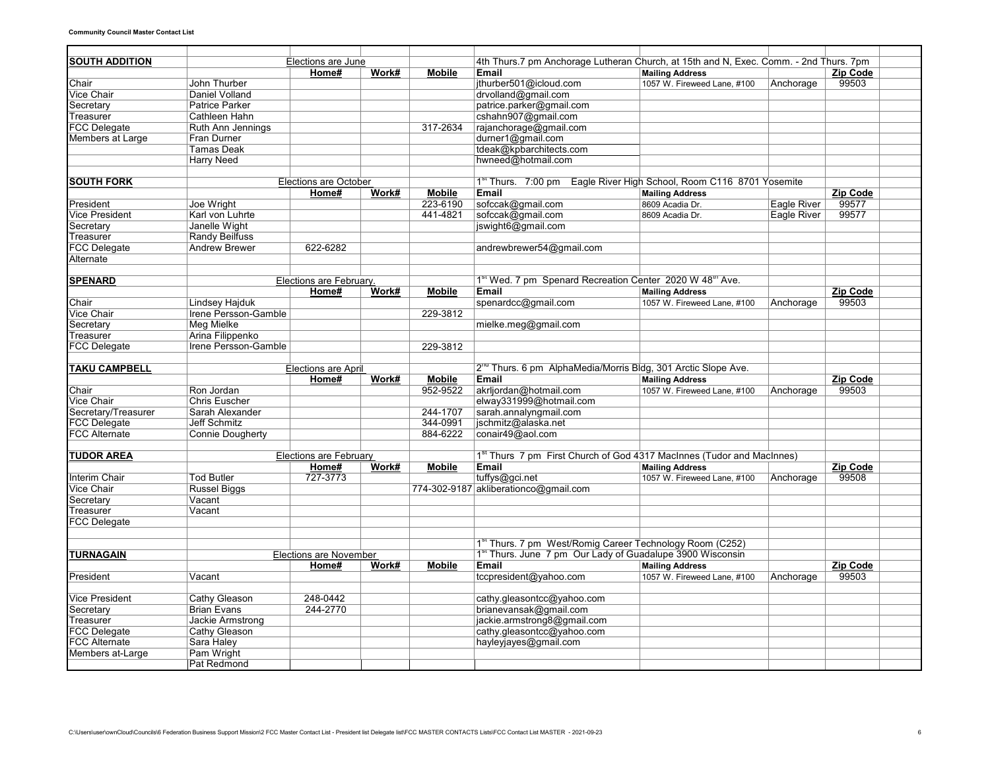| <b>SOUTH ADDITION</b> |                         | Elections are June            |       |               | 4th Thurs.7 pm Anchorage Lutheran Church, at 15th and N, Exec. Comm. - 2nd Thurs. 7pm |                             |             |                 |  |
|-----------------------|-------------------------|-------------------------------|-------|---------------|---------------------------------------------------------------------------------------|-----------------------------|-------------|-----------------|--|
|                       |                         | Home#                         | Work# | <b>Mobile</b> | Email                                                                                 | <b>Mailing Address</b>      |             | Zip Code        |  |
| Chair                 | John Thurber            |                               |       |               | jthurber501@icloud.com                                                                | 1057 W. Fireweed Lane, #100 | Anchorage   | 99503           |  |
| Vice Chair            | Daniel Volland          |                               |       |               | drvolland@gmail.com                                                                   |                             |             |                 |  |
| Secretary             | <b>Patrice Parker</b>   |                               |       |               | patrice.parker@gmail.com                                                              |                             |             |                 |  |
| Treasurer             | Cathleen Hahn           |                               |       |               | cshahn907@gmail.com                                                                   |                             |             |                 |  |
| <b>FCC Delegate</b>   | Ruth Ann Jennings       |                               |       | 317-2634      | rajanchorage@gmail.com                                                                |                             |             |                 |  |
| Members at Large      | Fran Durner             |                               |       |               | durner1@gmail.com                                                                     |                             |             |                 |  |
|                       | Tamas Deak              |                               |       |               | tdeak@kpbarchitects.com                                                               |                             |             |                 |  |
|                       | <b>Harry Need</b>       |                               |       |               | hwneed@hotmail.com                                                                    |                             |             |                 |  |
|                       |                         |                               |       |               |                                                                                       |                             |             |                 |  |
| <b>SOUTH FORK</b>     |                         | <b>Elections are October</b>  |       |               | 1 <sup>st</sup> Thurs. 7:00 pm Eagle River High School, Room C116 8701 Yosemite       |                             |             |                 |  |
|                       |                         | Home#                         | Work# | <b>Mobile</b> | Email                                                                                 | <b>Mailing Address</b>      |             | <b>Zip Code</b> |  |
| President             | Joe Wright              |                               |       | 223-6190      | sofccak@gmail.com                                                                     | 8609 Acadia Dr.             | Eagle River | 99577           |  |
| <b>Vice President</b> | Karl von Luhrte         |                               |       | 441-4821      | sofccak@gmail.com                                                                     | 8609 Acadia Dr.             | Eagle River | 99577           |  |
| Secretary             | Janelle Wight           |                               |       |               | jswight6@gmail.com                                                                    |                             |             |                 |  |
| Treasurer             | <b>Randy Beilfuss</b>   |                               |       |               |                                                                                       |                             |             |                 |  |
| <b>FCC Delegate</b>   | <b>Andrew Brewer</b>    | 622-6282                      |       |               | andrewbrewer54@gmail.com                                                              |                             |             |                 |  |
| Alternate             |                         |                               |       |               |                                                                                       |                             |             |                 |  |
|                       |                         |                               |       |               |                                                                                       |                             |             |                 |  |
| <b>SPENARD</b>        |                         | Elections are February.       |       |               | 1 <sup>st</sup> Wed. 7 pm Spenard Recreation Center 2020 W 48 <sup>th</sup> Ave.      |                             |             |                 |  |
|                       |                         | Home#                         | Work# | <b>Mobile</b> | Email                                                                                 | <b>Mailing Address</b>      |             | Zip Code        |  |
| Chair                 | Lindsey Hajduk          |                               |       |               | spenardcc@gmail.com                                                                   | 1057 W. Fireweed Lane, #100 | Anchorage   | 99503           |  |
| <b>Vice Chair</b>     | Irene Persson-Gamble    |                               |       | 229-3812      |                                                                                       |                             |             |                 |  |
| Secretary             | <b>Meg Mielke</b>       |                               |       |               | mielke.meg@gmail.com                                                                  |                             |             |                 |  |
| Treasurer             | Arina Filippenko        |                               |       |               |                                                                                       |                             |             |                 |  |
| <b>FCC Delegate</b>   | Irene Persson-Gamble    |                               |       | 229-3812      |                                                                                       |                             |             |                 |  |
|                       |                         |                               |       |               |                                                                                       |                             |             |                 |  |
| <b>TAKU CAMPBELL</b>  |                         | <b>Elections are April</b>    |       |               | 2 <sup>nd</sup> Thurs. 6 pm AlphaMedia/Morris Bldg, 301 Arctic Slope Ave.             |                             |             |                 |  |
|                       |                         | Home#                         | Work# | <b>Mobile</b> | Email                                                                                 | <b>Mailing Address</b>      |             | Zip Code        |  |
| Chair                 | Ron Jordan              |                               |       | 952-9522      | akrljordan@hotmail.com                                                                | 1057 W. Fireweed Lane, #100 | Anchorage   | 99503           |  |
| <b>Vice Chair</b>     | <b>Chris Euscher</b>    |                               |       |               | elway331999@hotmail.com                                                               |                             |             |                 |  |
| Secretary/Treasurer   | Sarah Alexander         |                               |       | 244-1707      | sarah.annalyngmail.com                                                                |                             |             |                 |  |
| <b>FCC Delegate</b>   | Jeff Schmitz            |                               |       | 344-0991      | jschmitz@alaska.net                                                                   |                             |             |                 |  |
| <b>FCC Alternate</b>  | <b>Connie Dougherty</b> |                               |       | 884-6222      | conair49@aol.com                                                                      |                             |             |                 |  |
|                       |                         |                               |       |               |                                                                                       |                             |             |                 |  |
| <b>TUDOR AREA</b>     |                         | Elections are February        |       |               | 1 <sup>st</sup> Thurs 7 pm First Church of God 4317 MacInnes (Tudor and MacInnes)     |                             |             |                 |  |
|                       |                         | Home#                         | Work# | <b>Mobile</b> | Email                                                                                 | <b>Mailing Address</b>      |             | Zip Code        |  |
| Interim Chair         | <b>Tod Butler</b>       | 727-3773                      |       |               | tuffys@gci.net                                                                        | 1057 W. Fireweed Lane, #100 | Anchorage   | 99508           |  |
| Vice Chair            | <b>Russel Biggs</b>     |                               |       |               | 774-302-9187 akliberationco@gmail.com                                                 |                             |             |                 |  |
| Secretary             | Vacant                  |                               |       |               |                                                                                       |                             |             |                 |  |
| Treasurer             | Vacant                  |                               |       |               |                                                                                       |                             |             |                 |  |
| <b>FCC Delegate</b>   |                         |                               |       |               |                                                                                       |                             |             |                 |  |
|                       |                         |                               |       |               |                                                                                       |                             |             |                 |  |
|                       |                         |                               |       |               | 1st Thurs. 7 pm West/Romig Career Technology Room (C252)                              |                             |             |                 |  |
| <b>TURNAGAIN</b>      |                         | <b>Elections are November</b> |       |               | 1 <sup>st</sup> Thurs. June 7 pm Our Lady of Guadalupe 3900 Wisconsin                 |                             |             |                 |  |
|                       |                         | Home#                         | Work# | <b>Mobile</b> | Email                                                                                 | <b>Mailing Address</b>      |             | Zip Code        |  |
| President             | Vacant                  |                               |       |               | tccpresident@yahoo.com                                                                | 1057 W. Fireweed Lane, #100 | Anchorage   | 99503           |  |
|                       |                         |                               |       |               |                                                                                       |                             |             |                 |  |
| <b>Vice President</b> | Cathy Gleason           | 248-0442                      |       |               | cathy.gleasontcc@yahoo.com                                                            |                             |             |                 |  |
| Secretary             | Brian Evans             | 244-2770                      |       |               | brianevansak@gmail.com                                                                |                             |             |                 |  |
| Treasurer             | Jackie Armstrong        |                               |       |               | jackie.armstrong8@gmail.com                                                           |                             |             |                 |  |
| <b>FCC Delegate</b>   | Cathy Gleason           |                               |       |               | cathy.gleasontcc@yahoo.com                                                            |                             |             |                 |  |
| <b>FCC Alternate</b>  | Sara Haley              |                               |       |               | hayleyjayes@gmail.com                                                                 |                             |             |                 |  |
| Members at-Large      | Pam Wright              |                               |       |               |                                                                                       |                             |             |                 |  |
|                       | Pat Redmond             |                               |       |               |                                                                                       |                             |             |                 |  |
|                       |                         |                               |       |               |                                                                                       |                             |             |                 |  |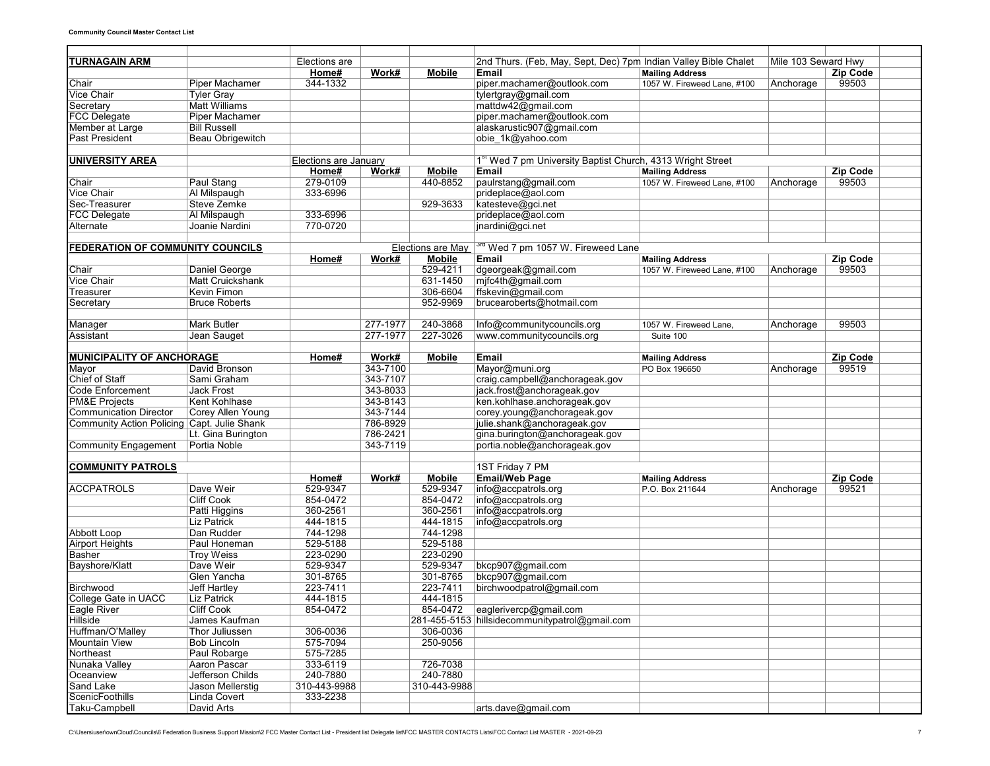| TURNAGAIN ARM                                                |                         | Elections are         |          |               | 2nd Thurs. (Feb, May, Sept, Dec) 7pm Indian Valley Bible Chalet        |                             | Mile 103 Seward Hwy |                 |  |  |  |
|--------------------------------------------------------------|-------------------------|-----------------------|----------|---------------|------------------------------------------------------------------------|-----------------------------|---------------------|-----------------|--|--|--|
|                                                              |                         | Home#                 | Work#    | <b>Mobile</b> | <b>Email</b>                                                           | <b>Mailing Address</b>      |                     | <b>Zip Code</b> |  |  |  |
| Chair                                                        | <b>Piper Machamer</b>   | 344-1332              |          |               | piper.machamer@outlook.com                                             | 1057 W. Fireweed Lane, #100 | Anchorage           | 99503           |  |  |  |
| Vice Chair                                                   | <b>Tyler Gray</b>       |                       |          |               | tylertgray@gmail.com                                                   |                             |                     |                 |  |  |  |
| Secretary                                                    | Matt Williams           |                       |          |               | mattdw42@gmail.com                                                     |                             |                     |                 |  |  |  |
| <b>FCC Delegate</b>                                          | Piper Machamer          |                       |          |               | piper.machamer@outlook.com                                             |                             |                     |                 |  |  |  |
| Member at Large                                              | <b>Bill Russell</b>     |                       |          |               | alaskarustic907@gmail.com                                              |                             |                     |                 |  |  |  |
| <b>Past President</b>                                        | Beau Obrigewitch        |                       |          |               | obie 1k@yahoo.com                                                      |                             |                     |                 |  |  |  |
|                                                              |                         |                       |          |               |                                                                        |                             |                     |                 |  |  |  |
| <b>UNIVERSITY AREA</b>                                       |                         | Elections are January |          |               | 1 <sup>st</sup> Wed 7 pm University Baptist Church, 4313 Wright Street |                             |                     |                 |  |  |  |
|                                                              |                         | Home#                 | Work#    | <b>Mobile</b> | Email                                                                  | <b>Mailing Address</b>      |                     | Zip Code        |  |  |  |
| Chair                                                        | Paul Stang              | 279-0109              |          | 440-8852      | paulrstang@gmail.com                                                   | 1057 W. Fireweed Lane, #100 | Anchorage           | 99503           |  |  |  |
| <b>Vice Chair</b>                                            | Al Milspaugh            | 333-6996              |          |               | prideplace@aol.com                                                     |                             |                     |                 |  |  |  |
| Sec-Treasurer                                                | <b>Steve Zemke</b>      |                       |          | 929-3633      | katesteve@gci.net                                                      |                             |                     |                 |  |  |  |
| <b>FCC Delegate</b>                                          | Al Milspaugh            | 333-6996              |          |               | prideplace@aol.com                                                     |                             |                     |                 |  |  |  |
| Alternate                                                    | Joanie Nardini          | 770-0720              |          |               | jnardini@gci.net                                                       |                             |                     |                 |  |  |  |
|                                                              |                         |                       |          |               |                                                                        |                             |                     |                 |  |  |  |
| <b>FEDERATION OF COMMUNITY COUNCILS</b><br>Elections are May |                         |                       |          |               | <sup>ra</sup> Wed 7 pm 1057 W. Fireweed Lane                           |                             |                     |                 |  |  |  |
|                                                              |                         | Home#                 | Work#    | Mobile        | Email                                                                  | <b>Mailing Address</b>      |                     | <b>Zip Code</b> |  |  |  |
| Chair                                                        | Daniel George           |                       |          | 529-4211      | dgeorgeak@gmail.com                                                    | 1057 W. Fireweed Lane, #100 | Anchorage           | 99503           |  |  |  |
| <b>Vice Chair</b>                                            | <b>Matt Cruickshank</b> |                       |          | 631-1450      | mjfc4th@gmail.com                                                      |                             |                     |                 |  |  |  |
| Treasurer                                                    | Kevin Fimon             |                       |          | 306-6604      | ffskevin@gmail.com                                                     |                             |                     |                 |  |  |  |
| Secretary                                                    | <b>Bruce Roberts</b>    |                       |          | 952-9969      | brucearoberts@hotmail.com                                              |                             |                     |                 |  |  |  |
|                                                              |                         |                       |          |               |                                                                        |                             |                     |                 |  |  |  |
| Manager                                                      | Mark Butler             |                       | 277-1977 | 240-3868      | Info@communitycouncils.org                                             | 1057 W. Fireweed Lane.      | Anchorage           | 99503           |  |  |  |
| Assistant                                                    | Jean Sauget             |                       | 277-1977 | 227-3026      | www.communitycouncils.org                                              | Suite 100                   |                     |                 |  |  |  |
|                                                              |                         |                       |          |               |                                                                        |                             |                     |                 |  |  |  |
| <b>MUNICIPALITY OF ANCHORAGE</b>                             |                         | Home#                 | Work#    | <b>Mobile</b> | Email                                                                  | <b>Mailing Address</b>      |                     | <b>Zip Code</b> |  |  |  |
| Mayor                                                        | David Bronson           |                       | 343-7100 |               | Mayor@muni.org                                                         | PO Box 196650               | Anchorage           | 99519           |  |  |  |
| Chief of Staff                                               | Sami Graham             |                       | 343-7107 |               | craig.campbell@anchorageak.gov                                         |                             |                     |                 |  |  |  |
| Code Enforcement                                             | <b>Jack Frost</b>       |                       | 343-8033 |               | jack.frost@anchorageak.gov                                             |                             |                     |                 |  |  |  |
| <b>PM&amp;E Projects</b>                                     | Kent Kohlhase           |                       | 343-8143 |               | ken.kohlhase.anchorageak.gov                                           |                             |                     |                 |  |  |  |
| <b>Communication Director</b>                                | Corey Allen Young       |                       | 343-7144 |               | corey.young@anchorageak.gov                                            |                             |                     |                 |  |  |  |
| Community Action Policing Capt. Julie Shank                  |                         |                       | 786-8929 |               | julie.shank@anchorageak.gov                                            |                             |                     |                 |  |  |  |
|                                                              | Lt. Gina Burington      |                       | 786-2421 |               | gina.burington@anchorageak.gov                                         |                             |                     |                 |  |  |  |
| <b>Community Engagement</b>                                  | Portia Noble            |                       | 343-7119 |               | portia.noble@anchorageak.gov                                           |                             |                     |                 |  |  |  |
|                                                              |                         |                       |          |               |                                                                        |                             |                     |                 |  |  |  |
| <b>COMMUNITY PATROLS</b>                                     |                         |                       |          |               | 1ST Friday 7 PM                                                        |                             |                     |                 |  |  |  |
|                                                              |                         | Home#                 | Work#    | <b>Mobile</b> | <b>Email/Web Page</b>                                                  | <b>Mailing Address</b>      |                     | <b>Zip Code</b> |  |  |  |
| <b>ACCPATROLS</b>                                            | Dave Weir               | 529-9347              |          | 529-9347      | info@accpatrols.org                                                    | P.O. Box 211644             | Anchorage           | 99521           |  |  |  |
|                                                              | <b>Cliff Cook</b>       | 854-0472              |          | 854-0472      | info@accpatrols.org                                                    |                             |                     |                 |  |  |  |
|                                                              | Patti Higgins           | 360-2561              |          | 360-2561      | info@accpatrols.org                                                    |                             |                     |                 |  |  |  |
|                                                              | <b>Liz Patrick</b>      | 444-1815              |          | 444-1815      | info@accpatrols.org                                                    |                             |                     |                 |  |  |  |
| <b>Abbott Loop</b>                                           | Dan Rudder              | 744-1298              |          | 744-1298      |                                                                        |                             |                     |                 |  |  |  |
| <b>Airport Heights</b>                                       | Paul Honeman            | 529-5188              |          | 529-5188      |                                                                        |                             |                     |                 |  |  |  |
| <b>Basher</b>                                                | <b>Troy Weiss</b>       | 223-0290              |          | 223-0290      |                                                                        |                             |                     |                 |  |  |  |
| Bayshore/Klatt                                               | Dave Weir               | 529-9347              |          | 529-9347      | bkcp907@gmail.com                                                      |                             |                     |                 |  |  |  |
|                                                              | Glen Yancha             | 301-8765              |          | 301-8765      | bkcp907@gmail.com                                                      |                             |                     |                 |  |  |  |
| Birchwood                                                    | Jeff Hartley            | 223-7411              |          | 223-7411      | birchwoodpatrol@gmail.com                                              |                             |                     |                 |  |  |  |
| College Gate in UACC                                         | <b>Liz Patrick</b>      | 444-1815              |          | 444-1815      |                                                                        |                             |                     |                 |  |  |  |
| ∣⊨agie River                                                 | Cliff Cook              | 854-0472              |          |               | 854-0472 eaglerivercp@gmail.com                                        |                             |                     |                 |  |  |  |
| <b>Hillside</b>                                              | James Kaufman           |                       |          |               | 281-455-5153 hillsidecommunitypatrol@gmail.com                         |                             |                     |                 |  |  |  |
| Huffman/O'Malley                                             | Thor Juliussen          | 306-0036              |          | 306-0036      |                                                                        |                             |                     |                 |  |  |  |
| <b>Mountain View</b>                                         | <b>Bob Lincoln</b>      | 575-7094              |          | 250-9056      |                                                                        |                             |                     |                 |  |  |  |
| Northeast                                                    | Paul Robarge            | 575-7285              |          |               |                                                                        |                             |                     |                 |  |  |  |
| Nunaka Valley                                                | Aaron Pascar            | 333-6119              |          | 726-7038      |                                                                        |                             |                     |                 |  |  |  |
| Oceanview                                                    | Jefferson Childs        | 240-7880              |          | 240-7880      |                                                                        |                             |                     |                 |  |  |  |
| Sand Lake                                                    | Jason Mellerstig        | 310-443-9988          |          | 310-443-9988  |                                                                        |                             |                     |                 |  |  |  |
| ScenicFoothills                                              | Linda Covert            | 333-2238              |          |               |                                                                        |                             |                     |                 |  |  |  |
| Taku-Campbell                                                | David Arts              |                       |          |               | arts.dave@gmail.com                                                    |                             |                     |                 |  |  |  |
|                                                              |                         |                       |          |               |                                                                        |                             |                     |                 |  |  |  |